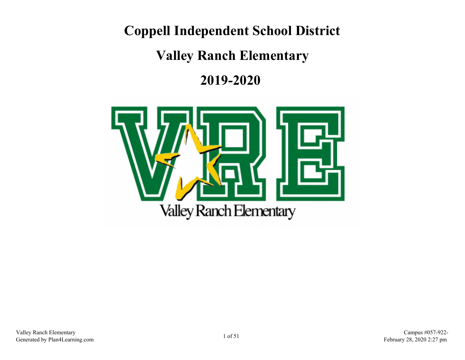**Coppell Independent School District**

**Valley Ranch Elementary**

**2019-2020** 

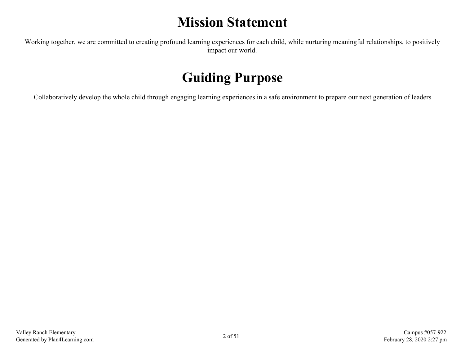# **Mission Statement**

Working together, we are committed to creating profound learning experiences for each child, while nurturing meaningful relationships, to positively impact our world.

# **Guiding Purpose**

Collaboratively develop the whole child through engaging learning experiences in a safe environment to prepare our next generation of leaders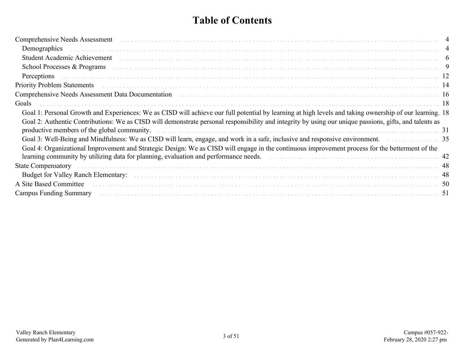# **Table of Contents**

| Comprehensive Needs Assessment (and according to the control of the control of the comprehensive Needs Assessment)                                                                                                                                                                                                                                                                 |  |
|------------------------------------------------------------------------------------------------------------------------------------------------------------------------------------------------------------------------------------------------------------------------------------------------------------------------------------------------------------------------------------|--|
|                                                                                                                                                                                                                                                                                                                                                                                    |  |
| Student Academic Achievement experiences and contact the contract of the contract of the contract of the contract of the contract of the contract of the contract of the contract of the contract of the contract of the contr                                                                                                                                                     |  |
| School Processes & Programs (and all contact the contract of the contract of the contract of the contract of the contract of the contract of the contract of the contract of the contract of the contract of the contract of t                                                                                                                                                     |  |
|                                                                                                                                                                                                                                                                                                                                                                                    |  |
|                                                                                                                                                                                                                                                                                                                                                                                    |  |
| Comprehensive Needs Assessment Data Documentation (and all contracts and all contracts and all comprehensive Needs Assessment Data Documentation (and all contracts and all contracts and all contracts and all contracts and                                                                                                                                                      |  |
| Goals                                                                                                                                                                                                                                                                                                                                                                              |  |
| Goal 1: Personal Growth and Experiences: We as CISD will achieve our full potential by learning at high levels and taking ownership of our learning. 18                                                                                                                                                                                                                            |  |
| Goal 2: Authentic Contributions: We as CISD will demonstrate personal responsibility and integrity by using our unique passions, gifts, and talents as<br>productive members of the global community. The contract of the state of the global community.                                                                                                                           |  |
| Goal 3: Well-Being and Mindfulness: We as CISD will learn, engage, and work in a safe, inclusive and responsive environment.                                                                                                                                                                                                                                                       |  |
| Goal 4: Organizational Improvement and Strategic Design: We as CISD will engage in the continuous improvement process for the betterment of the<br>learning community by utilizing data for planning, evaluation and performance needs.<br>and the set of the set of the set of the set of the set of the set of the set of the set of the set of the set of the set of the set of |  |
| <b>State Compensatory</b>                                                                                                                                                                                                                                                                                                                                                          |  |
|                                                                                                                                                                                                                                                                                                                                                                                    |  |
| A Site Based Committee (and according to the set of the set of the set of the set of the set of the set of the set of the set of the set of the set of the set of the set of the set of the set of the set of the set of the s                                                                                                                                                     |  |
| Campus Funding Summary (1990) 1996 (1991) 1997 (1991) 1997 (1993) 1998 (1993) 1998 (1998) 1999 (1999) 1999 (1999) 1999 (1999) 1999 (1999) 1999 (1999) 1999 (1999) 1999 (1999) 1999 (1999) 1999 (1999) 1999 (1999) 1999 (1999)                                                                                                                                                      |  |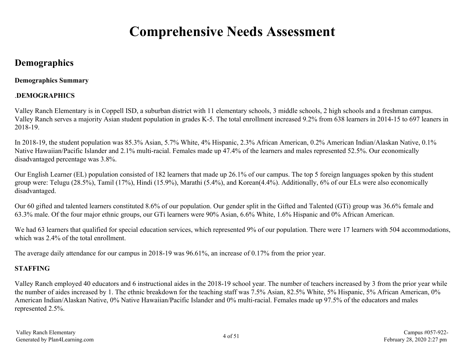# **Comprehensive Needs Assessment**

# <span id="page-3-0"></span>**Demographics**

## **Demographics Summary**

# .**DEMOGRAPHICS**

Valley Ranch Elementary is in Coppell ISD, a suburban district with 11 elementary schools, 3 middle schools, 2 high schools and a freshman campus. Valley Ranch serves a majority Asian student population in grades K-5. The total enrollment increased 9.2% from 638 learners in 2014-15 to 697 leaners in 2018-19.

In 2018-19, the student population was 85.3% Asian, 5.7% White, 4% Hispanic, 2.3% African American, 0.2% American Indian/Alaskan Native, 0.1% Native Hawaiian/Pacific Islander and 2.1% multi-racial. Females made up 47.4% of the learners and males represented 52.5%. Our economically disadvantaged percentage was 3.8%.

Our English Learner (EL) population consisted of 182 learners that made up 26.1% of our campus. The top 5 foreign languages spoken by this student group were: Telugu (28.5%), Tamil (17%), Hindi (15.9%), Marathi (5.4%), and Korean(4.4%). Additionally, 6% of our ELs were also economically disadvantaged.

Our 60 gifted and talented learners constituted 8.6% of our population. Our gender split in the Gifted and Talented (GTi) group was 36.6% female and 63.3% male. Of the four major ethnic groups, our GTi learners were 90% Asian, 6.6% White, 1.6% Hispanic and 0% African American.

We had 63 learners that qualified for special education services, which represented 9% of our population. There were 17 learners with 504 accommodations, which was 2.4% of the total enrollment.

The average daily attendance for our campus in 2018-19 was 96.61%, an increase of 0.17% from the prior year.

# **STAFFING**

Valley Ranch employed 40 educators and 6 instructional aides in the 2018-19 school year. The number of teachers increased by 3 from the prior year while the number of aides increased by 1. The ethnic breakdown for the teaching staff was 7.5% Asian, 82.5% White, 5% Hispanic, 5% African American, 0% American Indian/Alaskan Native, 0% Native Hawaiian/Pacific Islander and 0% multi-racial. Females made up 97.5% of the educators and males represented 2.5%.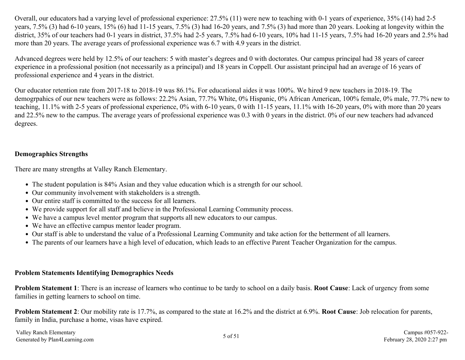Overall, our educators had a varying level of professional experience: 27.5% (11) were new to teaching with 0-1 years of experience, 35% (14) had 2-5 years, 7.5% (3) had 6-10 years, 15% (6) had 11-15 years, 7.5% (3) had 16-20 years, and 7.5% (3) had more than 20 years. Looking at longevity within the district, 35% of our teachers had 0-1 years in district, 37.5% had 2-5 years, 7.5% had 6-10 years, 10% had 11-15 years, 7.5% had 16-20 years and 2.5% had more than 20 years. The average years of professional experience was 6.7 with 4.9 years in the district.

Advanced degrees were held by 12.5% of our teachers: 5 with master's degrees and 0 with doctorates. Our campus principal had 38 years of career experience in a professional position (not necessarily as a principal) and 18 years in Coppell. Our assistant principal had an average of 16 years of professional experience and 4 years in the district.

Our educator retention rate from 2017-18 to 2018-19 was 86.1%. For educational aides it was 100%. We hired 9 new teachers in 2018-19. The demogrpahics of our new teachers were as follows: 22.2% Asian, 77.7% White, 0% Hispanic, 0% African American, 100% female, 0% male, 77.7% new to teaching, 11.1% with 2-5 years of professional experience, 0% with 6-10 years, 0 with 11-15 years, 11.1% with 16-20 years, 0% with more than 20 years and 22.5% new to the campus. The average years of professional experience was 0.3 with 0 years in the district. 0% of our new teachers had advanced degrees.

## **Demographics Strengths**

There are many strengths at Valley Ranch Elementary.

- The student population is 84% Asian and they value education which is a strength for our school.
- Our community involvement with stakeholders is a strength.
- Our entire staff is committed to the success for all learners.
- We provide support for all staff and believe in the Professional Learning Community process.
- We have a campus level mentor program that supports all new educators to our campus.
- We have an effective campus mentor leader program.
- Our staff is able to understand the value of a Professional Learning Community and take action for the betterment of all learners.
- The parents of our learners have a high level of education, which leads to an effective Parent Teacher Organization for the campus.

#### **Problem Statements Identifying Demographics Needs**

**Problem Statement 1**: There is an increase of learners who continue to be tardy to school on a daily basis. **Root Cause**: Lack of urgency from some families in getting learners to school on time.

**Problem Statement 2**: Our mobility rate is 17.7%, as compared to the state at 16.2% and the district at 6.9%. **Root Cause**: Job relocation for parents, family in India, purchase a home, visas have expired.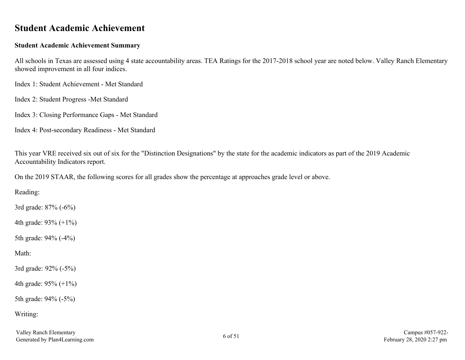# <span id="page-5-0"></span>**Student Academic Achievement**

### **Student Academic Achievement Summary**

All schools in Texas are assessed using 4 state accountability areas. TEA Ratings for the 2017-2018 school year are noted below. Valley Ranch Elementary showed improvement in all four indices.

Index 1: Student Achievement - Met Standard

Index 2: Student Progress -Met Standard

Index 3: Closing Performance Gaps - Met Standard

Index 4: Post-secondary Readiness - Met Standard

This year VRE received six out of six for the "Distinction Designations" by the state for the academic indicators as part of the 2019 Academic Accountability Indicators report.

On the 2019 STAAR, the following scores for all grades show the percentage at approaches grade level or above.

Reading:

3rd grade: 87% (-6%)

4th grade: 93% (+1%)

5th grade: 94% (-4%)

Math:

3rd grade: 92% (-5%)

4th grade: 95% (+1%)

5th grade: 94% (-5%)

Writing: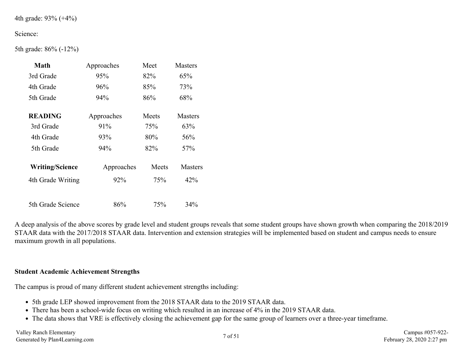```
4th grade: 93% (+4%)
```
#### Science:

5th grade: 86% (-12%)

| Math                   | Approaches | Meet  | <b>Masters</b> |
|------------------------|------------|-------|----------------|
| 3rd Grade              | 95%        | 82%   | 65%            |
| 4th Grade              | 96%        | 85%   | 73%            |
| 5th Grade              | 94%        | 86%   | 68%            |
| <b>READING</b>         | Approaches | Meets | <b>Masters</b> |
| 3rd Grade              | 91%        | 75%   |                |
| 4th Grade              | 93%        | 80%   | 56%            |
| 5th Grade              | 94%        | 82%   | 57%            |
| <b>Writing/Science</b> | Approaches | Meets | <b>Masters</b> |
| 4th Grade Writing      | 92%        | 75%   | 42%            |
| 5th Grade Science      | 86%        | 75%   | 34%            |

A deep analysis of the above scores by grade level and student groups reveals that some student groups have shown growth when comparing the 2018/2019 STAAR data with the 2017/2018 STAAR data. Intervention and extension strategies will be implemented based on student and campus needs to ensure maximum growth in all populations.

#### **Student Academic Achievement Strengths**

The campus is proud of many different student achievement strengths including:

- 5th grade LEP showed improvement from the 2018 STAAR data to the 2019 STAAR data.
- There has been a school-wide focus on writing which resulted in an increase of 4% in the 2019 STAAR data.
- The data shows that VRE is effectively closing the achievement gap for the same group of learners over a three-year timeframe.

Valley Ranch Elementary Valley Ranch Elementary Campus #057-922-<br>Generated by Plan4Learning.com **February** 28, 2020 2:27 pm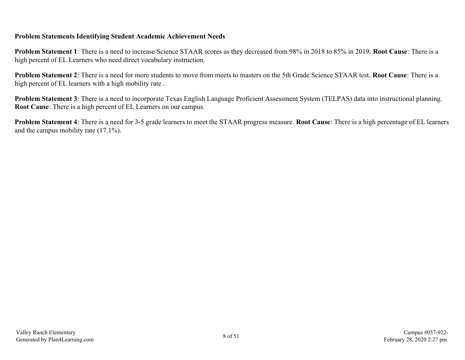### **Problem Statements Identifying Student Academic Achievement Needs**

**Problem Statement 1**: There is a need to increase Science STAAR scores as they decreased from 98% in 2018 to 85% in 2019. **Root Cause**: There is a high percent of EL Learners who need direct vocabulary instruction.

**Problem Statement 2**: There is a need for more students to move from meets to masters on the 5th Grade Science STAAR test. **Root Cause**: There is a high percent of EL learners with a high mobility rate .

**Problem Statement 3**: There is a need to incorporate Texas English Language Proficient Assessment System (TELPAS) data into instructional planning. **Root Cause**: There is a high percent of EL Learners on our campus.

**Problem Statement 4**: There is a need for 3-5 grade learners to meet the STAAR progress measure. **Root Cause**: There is a high percentage of EL learners and the campus mobility rate (17.1%).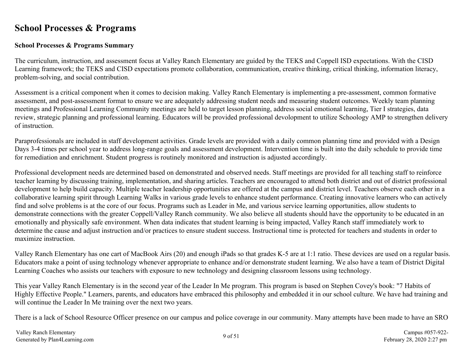# <span id="page-8-0"></span>**School Processes & Programs**

### **School Processes & Programs Summary**

The curriculum, instruction, and assessment focus at Valley Ranch Elementary are guided by the TEKS and Coppell ISD expectations. With the CISD Learning framework; the TEKS and CISD expectations promote collaboration, communication, creative thinking, critical thinking, information literacy, problem-solving, and social contribution.

Assessment is a critical component when it comes to decision making. Valley Ranch Elementary is implementing a pre-assessment, common formative assessment, and post-assessment format to ensure we are adequately addressing student needs and measuring student outcomes. Weekly team planning meetings and Professional Learning Community meetings are held to target lesson planning, address social emotional learning, Tier I strategies, data review, strategic planning and professional learning. Educators will be provided professional devolopment to utilize Schoology AMP to strengthen delivery of instruction.

Paraprofessionals are included in staff development activities. Grade levels are provided with a daily common planning time and provided with a Design Days 3-4 times per school year to address long-range goals and assessment development. Intervention time is built into the daily schedule to provide time for remediation and enrichment. Student progress is routinely monitored and instruction is adjusted accordingly.

Professional development needs are determined based on demonstrated and observed needs. Staff meetings are provided for all teaching staff to reinforce teacher learning by discussing training, implementation, and sharing articles. Teachers are encouraged to attend both district and out of district professional development to help build capacity. Multiple teacher leadership opportunities are offered at the campus and district level. Teachers observe each other in a collaborative learning spirit through Learning Walks in various grade levels to enhance student performance. Creating innovative learners who can actively find and solve problems is at the core of our focus. Programs such as Leader in Me, and various service learning opportunities, allow students to demonstrate connections with the greater Coppell/Valley Ranch community. We also believe all students should have the opportunity to be educated in an emotionally and physically safe environment. When data indicates that student learning is being impacted, Valley Ranch staff immediately work to determine the cause and adjust instruction and/or practices to ensure student success. Instructional time is protected for teachers and students in order to maximize instruction.

Valley Ranch Elementary has one cart of MacBook Airs (20) and enough iPads so that grades K-5 are at 1:1 ratio. These devices are used on a regular basis. Educators make a point of using technology whenever appropriate to enhance and/or demonstrate student learning. We also have a team of District Digital Learning Coaches who assists our teachers with exposure to new technology and designing classroom lessons using technology.

This year Valley Ranch Elementary is in the second year of the Leader In Me program. This program is based on Stephen Covey's book: "7 Habits of Highly Effective People." Learners, parents, and educators have embraced this philosophy and embedded it in our school culture. We have had training and will continue the Leader In Me training over the next two years.

There is a lack of School Resource Officer presence on our campus and police coverage in our community. Many attempts have been made to have an SRO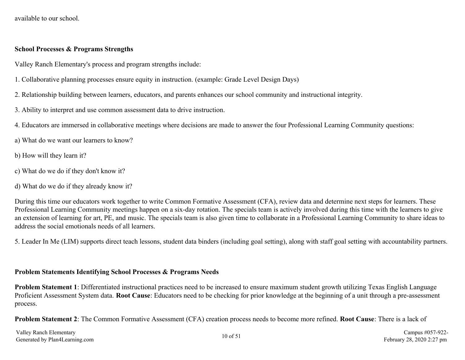available to our school.

#### **School Processes & Programs Strengths**

Valley Ranch Elementary's process and program strengths include:

- 1. Collaborative planning processes ensure equity in instruction. (example: Grade Level Design Days)
- 2. Relationship building between learners, educators, and parents enhances our school community and instructional integrity.
- 3. Ability to interpret and use common assessment data to drive instruction.
- 4. Educators are immersed in collaborative meetings where decisions are made to answer the four Professional Learning Community questions:
- a) What do we want our learners to know?
- b) How will they learn it?
- c) What do we do if they don't know it?
- d) What do we do if they already know it?

During this time our educators work together to write Common Formative Assessment (CFA), review data and determine next steps for learners. These Professional Learning Community meetings happen on a six-day rotation. The specials team is actively involved during this time with the learners to give an extension of learning for art, PE, and music. The specials team is also given time to collaborate in a Professional Learning Community to share ideas to address the social emotionals needs of all learners.

5. Leader In Me (LIM) supports direct teach lessons, student data binders (including goal setting), along with staff goal setting with accountability partners.

#### **Problem Statements Identifying School Processes & Programs Needs**

**Problem Statement 1**: Differentiated instructional practices need to be increased to ensure maximum student growth utilizing Texas English Language Proficient Assessment System data. **Root Cause**: Educators need to be checking for prior knowledge at the beginning of a unit through a pre-assessment process.

**Problem Statement 2**: The Common Formative Assessment (CFA) creation process needs to become more refined. **Root Cause**: There is a lack of

Valley Ranch Elementary Valley Ranch Elementary Campus #057-922-<br>Generated by Plan4Learning.com Campus #057-922-<br>February 28, 2020 2:27 pm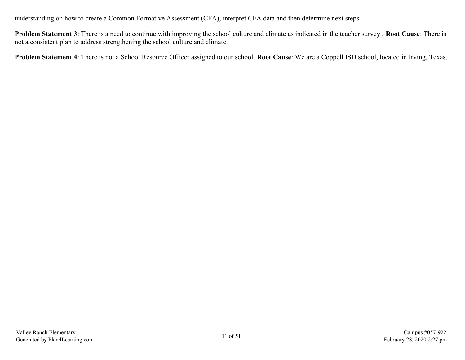understanding on how to create a Common Formative Assessment (CFA), interpret CFA data and then determine next steps.

**Problem Statement 3**: There is a need to continue with improving the school culture and climate as indicated in the teacher survey . **Root Cause**: There is not a consistent plan to address strengthening the school culture and climate.

**Problem Statement 4**: There is not a School Resource Officer assigned to our school. **Root Cause**: We are a Coppell ISD school, located in Irving, Texas.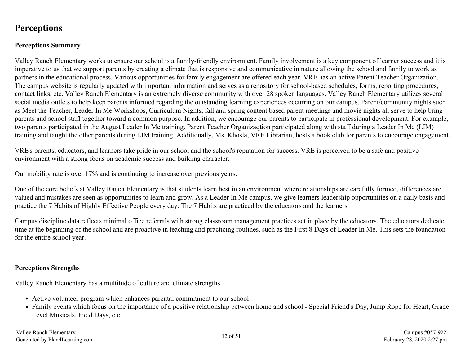# <span id="page-11-0"></span>**Perceptions**

## **Perceptions Summary**

Valley Ranch Elementary works to ensure our school is a family-friendly environment. Family involvement is a key component of learner success and it is imperative to us that we support parents by creating a climate that is responsive and communicative in nature allowing the school and family to work as partners in the educational process. Various opportunities for family engagement are offered each year. VRE has an active Parent Teacher Organization. The campus website is regularly updated with important information and serves as a repository for school-based schedules, forms, reporting procedures, contact links, etc. Valley Ranch Elementary is an extremely diverse community with over 28 spoken languages. Valley Ranch Elementary utilizes several social media outlets to help keep parents informed regarding the outstanding learning experiences occurring on our campus. Parent/community nights such as Meet the Teacher, Leader In Me Workshops, Curriculum Nights, fall and spring content based parent meetings and movie nights all serve to help bring parents and school staff together toward a common purpose. In addition, we encourage our parents to participate in professional development. For example, two parents participated in the August Leader In Me training. Parent Teacher Organizaqtion participated along with staff during a Leader In Me (LIM) training and taught the other parents during LIM training. Additionally, Ms. Khosla, VRE Librarian, hosts a book club for parents to encourage engagement.

VRE's parents, educators, and learners take pride in our school and the school's reputation for success. VRE is perceived to be a safe and positive environment with a strong focus on academic success and building character.

Our mobility rate is over 17% and is continuing to increase over previous years.

One of the core beliefs at Valley Ranch Elementary is that students learn best in an environment where relationships are carefully formed, differences are valued and mistakes are seen as opportunities to learn and grow. As a Leader In Me campus, we give learners leadership opportunities on a daily basis and practice the 7 Habits of Highly Effective People every day. The 7 Habits are practiced by the educators and the learners.

Campus discipline data reflects minimal office referrals with strong classroom management practices set in place by the educators. The educators dedicate time at the beginning of the school and are proactive in teaching and practicing routines, such as the First 8 Days of Leader In Me. This sets the foundation for the entire school year.

#### **Perceptions Strengths**

Valley Ranch Elementary has a multitude of culture and climate strengths.

- Active volunteer program which enhances parental commitment to our school
- Family events which focus on the importance of a positive relationship between home and school Special Friend's Day, Jump Rope for Heart, Grade Level Musicals, Field Days, etc.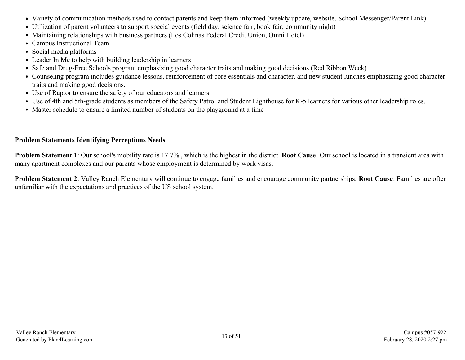- Variety of communication methods used to contact parents and keep them informed (weekly update, website, School Messenger/Parent Link)
- Utilization of parent volunteers to support special events (field day, science fair, book fair, community night)
- Maintaining relationships with business partners (Los Colinas Federal Credit Union, Omni Hotel)
- Campus Instructional Team
- Social media platforms
- Leader In Me to help with building leadership in learners
- Safe and Drug-Free Schools program emphasizing good character traits and making good decisions (Red Ribbon Week)
- Counseling program includes guidance lessons, reinforcement of core essentials and character, and new student lunches emphasizing good character traits and making good decisions.
- Use of Raptor to ensure the safety of our educators and learners
- Use of 4th and 5th-grade students as members of the Safety Patrol and Student Lighthouse for K-5 learners for various other leadership roles.
- Master schedule to ensure a limited number of students on the playground at a time

### **Problem Statements Identifying Perceptions Needs**

**Problem Statement 1**: Our school's mobility rate is 17.7% , which is the highest in the district. **Root Cause**: Our school is located in a transient area with many apartment complexes and our parents whose employment is determined by work visas.

**Problem Statement 2**: Valley Ranch Elementary will continue to engage families and encourage community partnerships. **Root Cause**: Families are often unfamiliar with the expectations and practices of the US school system.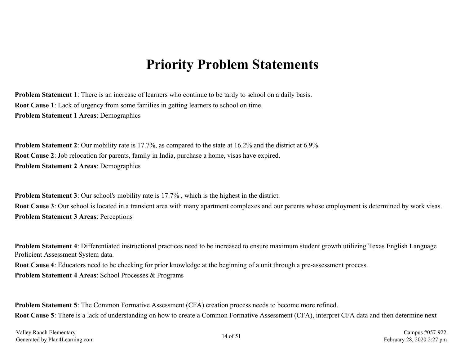# **Priority Problem Statements**

<span id="page-13-0"></span>**Problem Statement 1**: There is an increase of learners who continue to be tardy to school on a daily basis. **Root Cause 1**: Lack of urgency from some families in getting learners to school on time. **Problem Statement 1 Areas**: Demographics

**Problem Statement 2**: Our mobility rate is 17.7%, as compared to the state at 16.2% and the district at 6.9%. **Root Cause 2**: Job relocation for parents, family in India, purchase a home, visas have expired. **Problem Statement 2 Areas**: Demographics

**Problem Statement 3**: Our school's mobility rate is 17.7%, which is the highest in the district. **Root Cause 3**: Our school is located in a transient area with many apartment complexes and our parents whose employment is determined by work visas. **Problem Statement 3 Areas**: Perceptions

**Problem Statement 4**: Differentiated instructional practices need to be increased to ensure maximum student growth utilizing Texas English Language Proficient Assessment System data. **Root Cause 4**: Educators need to be checking for prior knowledge at the beginning of a unit through a pre-assessment process. **Problem Statement 4 Areas**: School Processes & Programs

**Problem Statement 5:** The Common Formative Assessment (CFA) creation process needs to become more refined. **Root Cause 5**: There is a lack of understanding on how to create a Common Formative Assessment (CFA), interpret CFA data and then determine next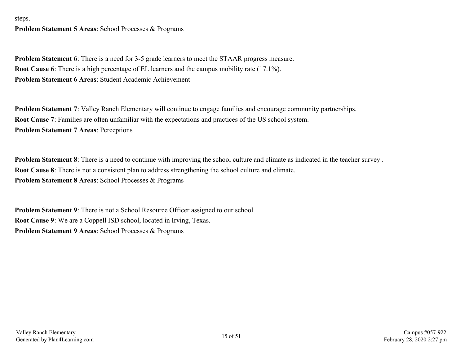steps.

**Problem Statement 5 Areas**: School Processes & Programs

**Problem Statement 6**: There is a need for 3-5 grade learners to meet the STAAR progress measure. **Root Cause 6**: There is a high percentage of EL learners and the campus mobility rate (17.1%). **Problem Statement 6 Areas**: Student Academic Achievement

**Problem Statement 7**: Valley Ranch Elementary will continue to engage families and encourage community partnerships. **Root Cause 7**: Families are often unfamiliar with the expectations and practices of the US school system. **Problem Statement 7 Areas**: Perceptions

**Problem Statement 8**: There is a need to continue with improving the school culture and climate as indicated in the teacher survey. **Root Cause 8**: There is not a consistent plan to address strengthening the school culture and climate. **Problem Statement 8 Areas**: School Processes & Programs

**Problem Statement 9**: There is not a School Resource Officer assigned to our school. **Root Cause 9**: We are a Coppell ISD school, located in Irving, Texas. **Problem Statement 9 Areas**: School Processes & Programs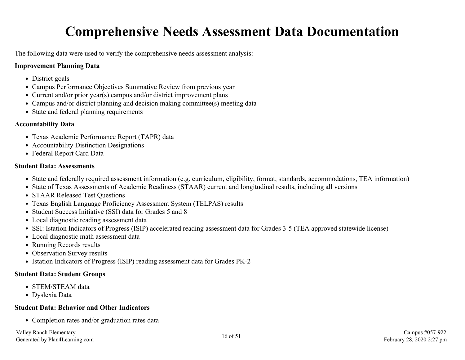# **Comprehensive Needs Assessment Data Documentation**

<span id="page-15-0"></span>The following data were used to verify the comprehensive needs assessment analysis:

## **Improvement Planning Data**

- District goals
- Campus Performance Objectives Summative Review from previous year
- Current and/or prior year(s) campus and/or district improvement plans
- Campus and/or district planning and decision making committee(s) meeting data
- State and federal planning requirements

#### **Accountability Data**

- Texas Academic Performance Report (TAPR) data
- Accountability Distinction Designations
- Federal Report Card Data

### **Student Data: Assessments**

- State and federally required assessment information (e.g. curriculum, eligibility, format, standards, accommodations, TEA information)
- State of Texas Assessments of Academic Readiness (STAAR) current and longitudinal results, including all versions
- STAAR Released Test Ouestions
- Texas English Language Proficiency Assessment System (TELPAS) results
- Student Success Initiative (SSI) data for Grades 5 and 8
- Local diagnostic reading assessment data
- SSI: Istation Indicators of Progress (ISIP) accelerated reading assessment data for Grades 3-5 (TEA approved statewide license)
- Local diagnostic math assessment data
- Running Records results
- Observation Survey results
- Istation Indicators of Progress (ISIP) reading assessment data for Grades PK-2

### **Student Data: Student Groups**

- STEM/STEAM data
- Dyslexia Data

#### **Student Data: Behavior and Other Indicators**

• Completion rates and/or graduation rates data

Valley Ranch Elementary Valley Ranch Elementary Campus #057-922-<br>Generated by Plan4Learning.com **16 of 51** Campus #057-922-<br>February 28, 2020 2:27 pm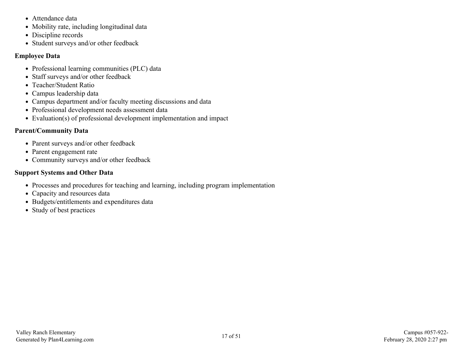- Attendance data
- Mobility rate, including longitudinal data
- Discipline records
- Student surveys and/or other feedback

## **Employee Data**

- Professional learning communities (PLC) data
- Staff surveys and/or other feedback
- Teacher/Student Ratio
- Campus leadership data
- Campus department and/or faculty meeting discussions and data
- Professional development needs assessment data
- Evaluation(s) of professional development implementation and impact

# **Parent/Community Data**

- Parent surveys and/or other feedback
- Parent engagement rate
- Community surveys and/or other feedback

## **Support Systems and Other Data**

- Processes and procedures for teaching and learning, including program implementation
- Capacity and resources data
- Budgets/entitlements and expenditures data
- Study of best practices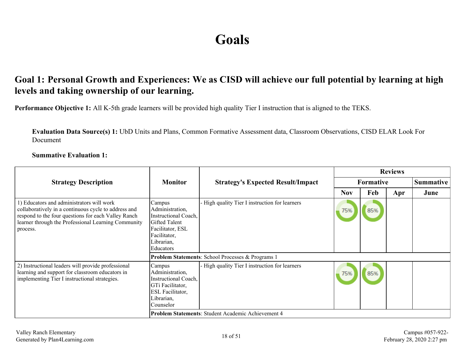# **Goals**

# <span id="page-17-0"></span>**Goal 1: Personal Growth and Experiences: We as CISD will achieve our full potential by learning at high levels and taking ownership of our learning.**

**Performance Objective 1:** All K-5th grade learners will be provided high quality Tier I instruction that is aligned to the TEKS.

**Evaluation Data Source(s) 1:** UbD Units and Plans, Common Formative Assessment data, Classroom Observations, CISD ELAR Look For Document

**Summative Evaluation 1:**

|                                                                                                                                                                                                                             |                                                                                                                                          |                                                              | <b>Reviews</b> |           |     |                  |  |
|-----------------------------------------------------------------------------------------------------------------------------------------------------------------------------------------------------------------------------|------------------------------------------------------------------------------------------------------------------------------------------|--------------------------------------------------------------|----------------|-----------|-----|------------------|--|
| <b>Strategy Description</b>                                                                                                                                                                                                 | <b>Monitor</b>                                                                                                                           | <b>Strategy's Expected Result/Impact</b>                     |                | Formative |     | <b>Summative</b> |  |
|                                                                                                                                                                                                                             |                                                                                                                                          |                                                              | <b>Nov</b>     | Feb       | Apr | June             |  |
| 1) Educators and administrators will work<br>collaboratively in a continuous cycle to address and<br>respond to the four questions for each Valley Ranch<br>learner through the Professional Learning Community<br>process. | Campus<br>Administration,<br>Instructional Coach,<br><b>Gifted Talent</b><br>Facilitator, ESL<br>Facilitator,<br>Librarian,<br>Educators | - High quality Tier I instruction for learners               | 75%            | 85%       |     |                  |  |
|                                                                                                                                                                                                                             |                                                                                                                                          | <b>Problem Statements: School Processes &amp; Programs 1</b> |                |           |     |                  |  |
| 2) Instructional leaders will provide professional<br>learning and support for classroom educators in<br>implementing Tier I instructional strategies.                                                                      | Campus<br>Administration,<br>Instructional Coach,<br>GTi Facilitator,<br><b>ESL</b> Facilitator,<br>Librarian,<br>Counselor              | - High quality Tier I instruction for learners               | 75%            | 85%       |     |                  |  |
|                                                                                                                                                                                                                             |                                                                                                                                          | Problem Statements: Student Academic Achievement 4           |                |           |     |                  |  |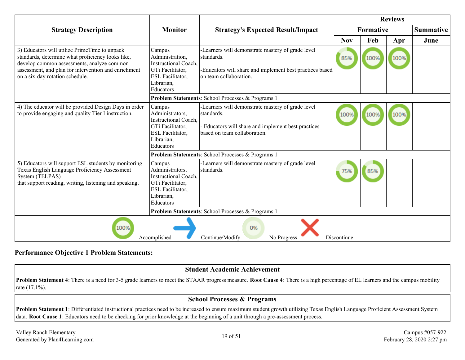|                                                                                                                                                                                                                                             |                                                                                                                             |                                                                                                                                                        | <b>Reviews</b>   |      |      |                  |
|---------------------------------------------------------------------------------------------------------------------------------------------------------------------------------------------------------------------------------------------|-----------------------------------------------------------------------------------------------------------------------------|--------------------------------------------------------------------------------------------------------------------------------------------------------|------------------|------|------|------------------|
| <b>Strategy Description</b>                                                                                                                                                                                                                 | <b>Monitor</b>                                                                                                              | <b>Strategy's Expected Result/Impact</b>                                                                                                               | <b>Formative</b> |      |      | <b>Summative</b> |
|                                                                                                                                                                                                                                             |                                                                                                                             |                                                                                                                                                        | <b>Nov</b>       | Feb  | Apr  | June             |
| 3) Educators will utilize PrimeTime to unpack<br>standards, determine what proficiency looks like,<br>develop common assessments, analyze common<br>assessment, and plan for intervention and enrichment<br>on a six-day rotation schedule. | Campus<br>Administration,<br><b>Instructional Coach.</b><br>GTi Facilitator,<br>ESL Facilitator,<br>Librarian,<br>Educators | -Learners will demonstrate mastery of grade level<br>standards.<br>-Educators will share and implement best practices based<br>on team collaboration.  | 85%              | 100% | 100% |                  |
|                                                                                                                                                                                                                                             |                                                                                                                             | Problem Statements: School Processes & Programs 1                                                                                                      |                  |      |      |                  |
| 4) The educator will be provided Design Days in order<br>to provide engaging and quality Tier I instruction.                                                                                                                                | Campus<br>Administrators,<br><b>Instructional Coach.</b><br>GTi Facilitator,<br>ESL Facilitator,<br>Librarian,<br>Educators | -Learners will demonstrate mastery of grade level<br>standards.<br>- Educators will share and implement best practices<br>based on team collaboration. | 100%             | 100% | 100% |                  |
|                                                                                                                                                                                                                                             |                                                                                                                             | Problem Statements: School Processes & Programs 1                                                                                                      |                  |      |      |                  |
| 5) Educators will support ESL students by monitoring<br>Texas English Language Proficiency Assessment<br>System (TELPAS)<br>that support reading, writing, listening and speaking.                                                          | Campus<br>Administrators,<br><b>Instructional Coach,</b><br>GTi Facilitator,<br>ESL Facilitator,<br>Librarian,<br>Educators | -Learners will demonstrate mastery of grade level<br>standards.                                                                                        |                  | 85%  |      |                  |
| Problem Statements: School Processes & Programs 1                                                                                                                                                                                           |                                                                                                                             |                                                                                                                                                        |                  |      |      |                  |
| 100%<br>0%<br>$=$ Accomplished<br>$=$ Continue/Modify<br>$=$ No Progress<br>$=$ Discontinue                                                                                                                                                 |                                                                                                                             |                                                                                                                                                        |                  |      |      |                  |

#### **Performance Objective 1 Problem Statements:**

## **Student Academic Achievement**

**Problem Statement 4**: There is a need for 3-5 grade learners to meet the STAAR progress measure. **Root Cause 4**: There is a high percentage of EL learners and the campus mobility rate (17.1%).

#### **School Processes & Programs**

**Problem Statement 1**: Differentiated instructional practices need to be increased to ensure maximum student growth utilizing Texas English Language Proficient Assessment System data. **Root Cause 1**: Educators need to be checking for prior knowledge at the beginning of a unit through a pre-assessment process.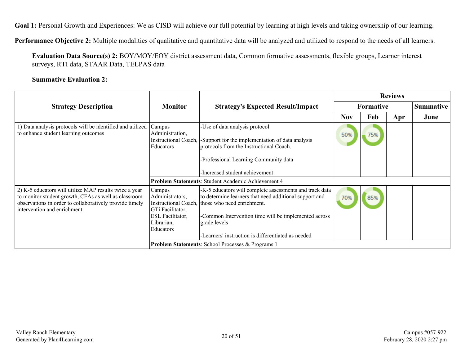Goal 1: Personal Growth and Experiences: We as CISD will achieve our full potential by learning at high levels and taking ownership of our learning.

**Performance Objective 2:** Multiple modalities of qualitative and quantitative data will be analyzed and utilized to respond to the needs of all learners.

**Evaluation Data Source(s) 2:** BOY/MOY/EOY district assessment data, Common formative assessments, flexible groups, Learner interest surveys, RTI data, STAAR Data, TELPAS data

#### **Summative Evaluation 2:**

|                                                                                                                                                                                                           |                                                                                                     |                                                                                                                                                                                                                                                                                                    | <b>Reviews</b>   |     |     |                  |  |
|-----------------------------------------------------------------------------------------------------------------------------------------------------------------------------------------------------------|-----------------------------------------------------------------------------------------------------|----------------------------------------------------------------------------------------------------------------------------------------------------------------------------------------------------------------------------------------------------------------------------------------------------|------------------|-----|-----|------------------|--|
| <b>Strategy Description</b>                                                                                                                                                                               | <b>Monitor</b>                                                                                      | <b>Strategy's Expected Result/Impact</b>                                                                                                                                                                                                                                                           | <b>Formative</b> |     |     | <b>Summative</b> |  |
|                                                                                                                                                                                                           |                                                                                                     |                                                                                                                                                                                                                                                                                                    | <b>Nov</b>       | Feb | Apr | June             |  |
| 1) Data analysis protocols will be identified and utilized<br>to enhance student learning outcomes                                                                                                        | Campus<br>Administration,<br>Instructional Coach,<br>Educators                                      | -Use of data analysis protocol<br>Support for the implementation of data analysis<br>protocols from the Instructional Coach.<br>-Professional Learning Community data<br>-Increased student achievement                                                                                            | 50%              | 75% |     |                  |  |
|                                                                                                                                                                                                           |                                                                                                     | <b>Problem Statements: Student Academic Achievement 4</b>                                                                                                                                                                                                                                          |                  |     |     |                  |  |
| 2) K-5 educators will utilize MAP results twice a year<br>to monitor student growth, CFAs as well as classroom<br>observations in order to collaboratively provide timely<br>intervention and enrichment. | Campus<br>Administrators,<br>GTi Facilitator,<br><b>ESL Facilitator,</b><br>Librarian,<br>Educators | -K-5 educators will complete assessments and track data<br>to determine learners that need additional support and<br>Instructional Coach, those who need enrichment.<br>-Common Intervention time will be implemented across<br>grade levels<br>-Learners' instruction is differentiated as needed | 70%              | 85% |     |                  |  |
|                                                                                                                                                                                                           |                                                                                                     | <b>Problem Statements: School Processes &amp; Programs 1</b>                                                                                                                                                                                                                                       |                  |     |     |                  |  |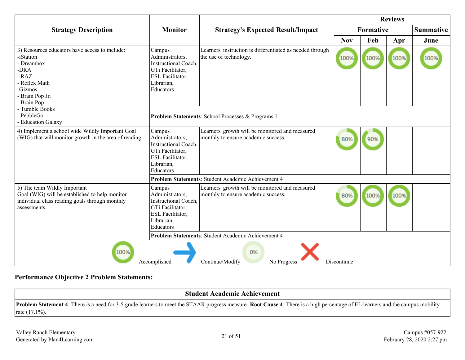|                                                                                                                                                           |                                                                                                                             |                                                                                        | <b>Reviews</b> |                  |      |                  |
|-----------------------------------------------------------------------------------------------------------------------------------------------------------|-----------------------------------------------------------------------------------------------------------------------------|----------------------------------------------------------------------------------------|----------------|------------------|------|------------------|
| <b>Strategy Description</b>                                                                                                                               | <b>Monitor</b>                                                                                                              | <b>Strategy's Expected Result/Impact</b>                                               |                | <b>Formative</b> |      | <b>Summative</b> |
|                                                                                                                                                           |                                                                                                                             |                                                                                        | <b>Nov</b>     | Feb              | Apr  | June             |
| 3) Resources educators have access to include:<br>-iStation<br>- Dreambox<br>-DRA<br>$-RAZ$<br>- Reflex Math<br>-Gizmos<br>- Brain Pop Jr.<br>- Brain Pop | Campus<br>Administrators,<br><b>Instructional Coach,</b><br>GTi Facilitator,<br>ESL Facilitator,<br>Librarian,<br>Educators | Learners' instruction is differentiated as needed through<br>the use of technology.    | 100%           | 100%             | 100% |                  |
| - Tumble Books<br>- PebbleGo<br>- Education Galaxy                                                                                                        |                                                                                                                             | Problem Statements: School Processes & Programs 1                                      |                |                  |      |                  |
| 4) Implement a school wide Wildly Important Goal<br>(WIG) that will monitor growth in the area of reading.                                                | Campus<br>Administrators,<br><b>Instructional Coach,</b><br>GTi Facilitator,<br>ESL Facilitator,<br>Librarian,<br>Educators | Learners' growth will be monitored and measured<br>monthly to ensure academic success. | 80%            | 90%              |      |                  |
|                                                                                                                                                           |                                                                                                                             | Problem Statements: Student Academic Achievement 4                                     |                |                  |      |                  |
| 5) The team Wildly Important<br>Goal (WIG) will be established to help monitor<br>individual class reading goals through monthly<br>assessments.          | Campus<br>Administrators,<br><b>Instructional Coach,</b><br>GTi Facilitator,<br>ESL Facilitator,<br>Librarian,<br>Educators | Learners' growth will be monitored and measured<br>monthly to ensure academic success. | 80%            | 100%             | 100% |                  |
|                                                                                                                                                           |                                                                                                                             | Problem Statements: Student Academic Achievement 4                                     |                |                  |      |                  |
| 100%<br>0%<br>$=$ Continue/Modify<br>$=$ Accomplished<br>$=$ No Progress<br>$=$ Discontinue                                                               |                                                                                                                             |                                                                                        |                |                  |      |                  |

# **Performance Objective 2 Problem Statements:**

| <b>Student Academic Achievement</b>                                                                                                                                                     |  |  |  |  |  |  |
|-----------------------------------------------------------------------------------------------------------------------------------------------------------------------------------------|--|--|--|--|--|--|
| <b>Problem Statement 4</b> : There is a need for 3-5 grade learners to meet the STAAR progress measure. Root Cause 4: There is a high percentage of EL learners and the campus mobility |  |  |  |  |  |  |
| rate $(17.1\%)$ .                                                                                                                                                                       |  |  |  |  |  |  |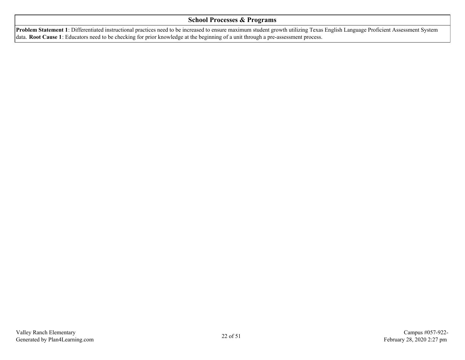#### **School Processes & Programs**

**Problem Statement 1**: Differentiated instructional practices need to be increased to ensure maximum student growth utilizing Texas English Language Proficient Assessment System data. **Root Cause 1**: Educators need to be checking for prior knowledge at the beginning of a unit through a pre-assessment process.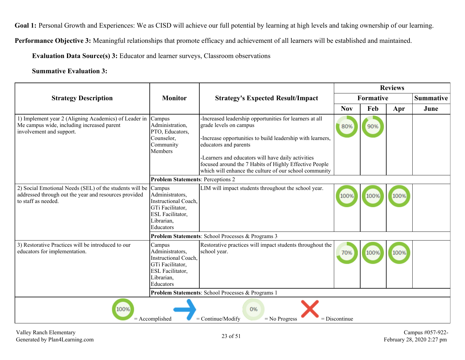Goal 1: Personal Growth and Experiences: We as CISD will achieve our full potential by learning at high levels and taking ownership of our learning.

**Performance Objective 3:** Meaningful relationships that promote efficacy and achievement of all learners will be established and maintained.

**Evaluation Data Source(s) 3:** Educator and learner surveys, Classroom observations

#### **Summative Evaluation 3:**

|                                                                                                                                         |                                                                                                                             |                                                                                                                                                                                                                                                                                                                                                    | <b>Reviews</b> |                  |      |                  |
|-----------------------------------------------------------------------------------------------------------------------------------------|-----------------------------------------------------------------------------------------------------------------------------|----------------------------------------------------------------------------------------------------------------------------------------------------------------------------------------------------------------------------------------------------------------------------------------------------------------------------------------------------|----------------|------------------|------|------------------|
| <b>Strategy Description</b>                                                                                                             | <b>Monitor</b>                                                                                                              | <b>Strategy's Expected Result/Impact</b>                                                                                                                                                                                                                                                                                                           |                | <b>Formative</b> |      | <b>Summative</b> |
|                                                                                                                                         |                                                                                                                             |                                                                                                                                                                                                                                                                                                                                                    | <b>Nov</b>     | Feb              | Apr  | June             |
| 1) Implement year 2 (Aligning Academics) of Leader in<br>Me campus wide, including increased parent<br>involvement and support.         | Campus<br>Administration,<br>PTO, Educators,<br>Counselor,<br>Community<br>Members                                          | -Increased leadership opportunities for learners at all<br>grade levels on campus<br>-Increase opportunities to build leadership with learners,<br>educators and parents<br>-Learners and educators will have daily activities<br>focused around the 7 Habits of Highly Effective People<br>which will enhance the culture of our school community | 80%            | 90%              |      |                  |
|                                                                                                                                         | <b>Problem Statements: Perceptions 2</b>                                                                                    |                                                                                                                                                                                                                                                                                                                                                    |                |                  |      |                  |
| 2) Social Emotional Needs (SEL) of the students will be<br>addressed through out the year and resources provided<br>to staff as needed. | Campus<br>Administrators,<br>Instructional Coach,<br>GTi Facilitator,<br>ESL Facilitator,<br>Librarian,<br>Educators        | LIM will impact students throughout the school year.                                                                                                                                                                                                                                                                                               | 100%           | 100%             | 100% |                  |
|                                                                                                                                         |                                                                                                                             | Problem Statements: School Processes & Programs 3                                                                                                                                                                                                                                                                                                  |                |                  |      |                  |
| 3) Restorative Practices will be introduced to our<br>educators for implementation.                                                     | Campus<br>Administrators,<br><b>Instructional Coach,</b><br>GTi Facilitator,<br>ESL Facilitator,<br>Librarian,<br>Educators | Restorative practices will impact students throughout the<br>school year.                                                                                                                                                                                                                                                                          | 70%            | 100%             | 100% |                  |
|                                                                                                                                         |                                                                                                                             | Problem Statements: School Processes & Programs 1                                                                                                                                                                                                                                                                                                  |                |                  |      |                  |
| 100%<br>0%<br>$=$ Continue/Modify<br>$=$ Accomplished<br>$=$ No Progress<br>$=$ Discontinue                                             |                                                                                                                             |                                                                                                                                                                                                                                                                                                                                                    |                |                  |      |                  |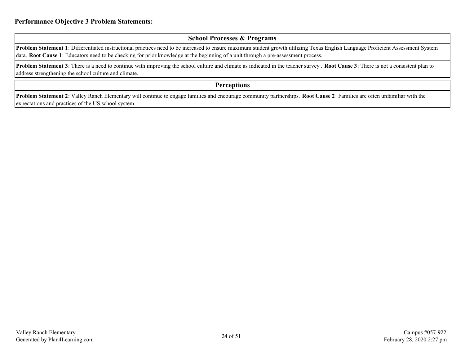#### **School Processes & Programs**

**Problem Statement 1**: Differentiated instructional practices need to be increased to ensure maximum student growth utilizing Texas English Language Proficient Assessment System data. **Root Cause 1**: Educators need to be checking for prior knowledge at the beginning of a unit through a pre-assessment process.

**Problem Statement 3**: There is a need to continue with improving the school culture and climate as indicated in the teacher survey. **Root Cause 3**: There is not a consistent plan to address strengthening the school culture and climate.

#### **Perceptions**

**Problem Statement 2**: Valley Ranch Elementary will continue to engage families and encourage community partnerships. **Root Cause 2**: Families are often unfamiliar with the expectations and practices of the US school system.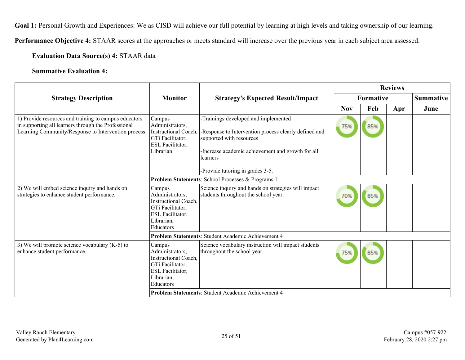Goal 1: Personal Growth and Experiences: We as CISD will achieve our full potential by learning at high levels and taking ownership of our learning.

**Performance Objective 4:** STAAR scores at the approaches or meets standard will increase over the previous year in each subject area assessed.

#### **Evaluation Data Source(s) 4:** STAAR data

#### **Summative Evaluation 4:**

|                                                                                                                                                                     |                                                                                                                                    | <b>Strategy's Expected Result/Impact</b>                                                                                                                                                                                       | <b>Reviews</b>   |     |     |                  |
|---------------------------------------------------------------------------------------------------------------------------------------------------------------------|------------------------------------------------------------------------------------------------------------------------------------|--------------------------------------------------------------------------------------------------------------------------------------------------------------------------------------------------------------------------------|------------------|-----|-----|------------------|
| <b>Strategy Description</b>                                                                                                                                         | <b>Monitor</b>                                                                                                                     |                                                                                                                                                                                                                                | <b>Formative</b> |     |     | <b>Summative</b> |
|                                                                                                                                                                     |                                                                                                                                    |                                                                                                                                                                                                                                | <b>Nov</b>       | Feb | Apr | June             |
| 1) Provide resources and training to campus educators<br>in supporting all learners through the Professional<br>Learning Community/Response to Intervention process | Campus<br>Administrators,<br><b>Instructional Coach</b><br>GTi Facilitator,<br>ESL Facilitator,<br>Librarian                       | -Trainings developed and implemented<br>-Response to Intervention process clearly defined and<br>supported with resources<br>-Increase academic achievement and growth for all<br>learners<br>-Provide tutoring in grades 3-5. | 75%              | 85% |     |                  |
|                                                                                                                                                                     |                                                                                                                                    | Problem Statements: School Processes & Programs 1                                                                                                                                                                              |                  |     |     |                  |
| 2) We will embed science inquiry and hands on<br>strategies to enhance student performance.                                                                         | Campus<br>Administrators,<br><b>Instructional Coach.</b><br>GTi Facilitator,<br>ESL Facilitator,<br>Librarian,<br><b>Educators</b> | Science inquiry and hands on strategies will impact<br>students throughout the school year.                                                                                                                                    | 70%              | 85% |     |                  |
|                                                                                                                                                                     |                                                                                                                                    | Problem Statements: Student Academic Achievement 4                                                                                                                                                                             |                  |     |     |                  |
| 3) We will promote science vocabulary $(K-5)$ to<br>enhance student performance.                                                                                    | Campus<br>Administrators,<br>Instructional Coach.<br>GTi Facilitator,<br>ESL Facilitator,<br>Librarian,<br>Educators               | Science vocabulary instruction will impact students<br>throughout the school year.                                                                                                                                             | 75%              | 85% |     |                  |
| Problem Statements: Student Academic Achievement 4                                                                                                                  |                                                                                                                                    |                                                                                                                                                                                                                                |                  |     |     |                  |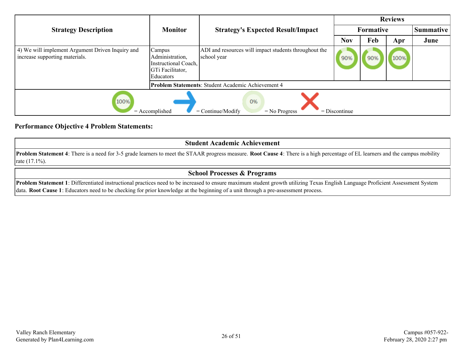|                                                                                             |                                                                                    |                                                                      | <b>Reviews</b> |     |      |                  |  |
|---------------------------------------------------------------------------------------------|------------------------------------------------------------------------------------|----------------------------------------------------------------------|----------------|-----|------|------------------|--|
| <b>Strategy Description</b>                                                                 | <b>Monitor</b>                                                                     | <b>Strategy's Expected Result/Impact</b>                             | Formative      |     |      | <b>Summative</b> |  |
|                                                                                             |                                                                                    |                                                                      | <b>Nov</b>     | Feb | Apr  | June             |  |
| 4) We will implement Argument Driven Inquiry and<br>increase supporting materials.          | Campus<br>Administration,<br>Instructional Coach,<br>GTi Facilitator,<br>Educators | ADI and resources will impact students throughout the<br>school year | 90%            | 90% | 100% |                  |  |
|                                                                                             |                                                                                    | Problem Statements: Student Academic Achievement 4                   |                |     |      |                  |  |
| 100%<br>0%<br>$=$ Accomplished<br>$=$ Continue/Modify<br>$=$ Discontinue<br>$=$ No Progress |                                                                                    |                                                                      |                |     |      |                  |  |

#### **Performance Objective 4 Problem Statements:**

| <b>Student Academic Achievement</b>                                                                                                                                                                                    |  |  |  |  |  |  |
|------------------------------------------------------------------------------------------------------------------------------------------------------------------------------------------------------------------------|--|--|--|--|--|--|
| <b>Problem Statement 4</b> : There is a need for 3-5 grade learners to meet the STAAR progress measure. <b>Root Cause 4</b> : There is a high percentage of EL learners and the campus mobility<br>$\arctan(17.1\%)$ . |  |  |  |  |  |  |
| <b>School Processes &amp; Programs</b>                                                                                                                                                                                 |  |  |  |  |  |  |

**Problem Statement 1**: Differentiated instructional practices need to be increased to ensure maximum student growth utilizing Texas English Language Proficient Assessment System data. **Root Cause 1**: Educators need to be checking for prior knowledge at the beginning of a unit through a pre-assessment process.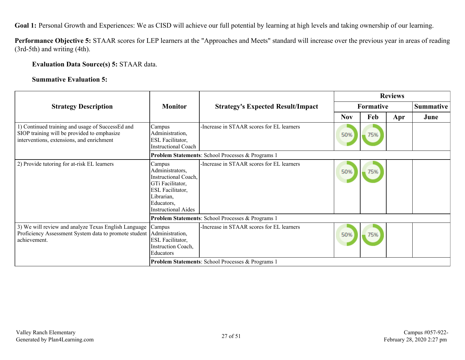Goal 1: Personal Growth and Experiences: We as CISD will achieve our full potential by learning at high levels and taking ownership of our learning.

**Performance Objective 5:** STAAR scores for LEP learners at the "Approaches and Meets" standard will increase over the previous year in areas of reading (3rd-5th) and writing (4th).

#### **Evaluation Data Source(s) 5:** STAAR data.

#### **Summative Evaluation 5:**

|                                                                                                                                              |                                                                                                                                                     |                                                   | <b>Reviews</b>   |     |     |                  |
|----------------------------------------------------------------------------------------------------------------------------------------------|-----------------------------------------------------------------------------------------------------------------------------------------------------|---------------------------------------------------|------------------|-----|-----|------------------|
| <b>Strategy Description</b>                                                                                                                  | <b>Monitor</b>                                                                                                                                      | <b>Strategy's Expected Result/Impact</b>          | <b>Formative</b> |     |     | <b>Summative</b> |
|                                                                                                                                              |                                                                                                                                                     |                                                   | <b>Nov</b>       | Feb | Apr | June             |
| 1) Continued training and usage of SuccessEd and<br>SIOP training will be provided to emphasize<br>interventions, extensions, and enrichment | Campus<br>Administration,<br>ESL Facilitator,<br><b>Instructional Coach</b>                                                                         | -Increase in STAAR scores for EL learners         | 50%              | 75% |     |                  |
|                                                                                                                                              |                                                                                                                                                     | Problem Statements: School Processes & Programs 1 |                  |     |     |                  |
| 2) Provide tutoring for at-risk EL learners                                                                                                  | Campus<br>Administrators,<br>Instructional Coach,<br>GTi Facilitator,<br>ESL Facilitator,<br>Librarian,<br>Educators,<br><b>Instructional Aides</b> | -Increase in STAAR scores for EL learners         | 50%              | 75% |     |                  |
|                                                                                                                                              |                                                                                                                                                     | Problem Statements: School Processes & Programs 1 |                  |     |     |                  |
| 3) We will review and analyze Texas English Language<br>Proficiency Assessment System data to promote student<br>achievement.                | Campus<br>Administration,<br>ESL Facilitator,<br><b>Instruction Coach,</b><br>Educators                                                             | -Increase in STAAR scores for EL learners         | 50%              | 75% |     |                  |
|                                                                                                                                              |                                                                                                                                                     | Problem Statements: School Processes & Programs 1 |                  |     |     |                  |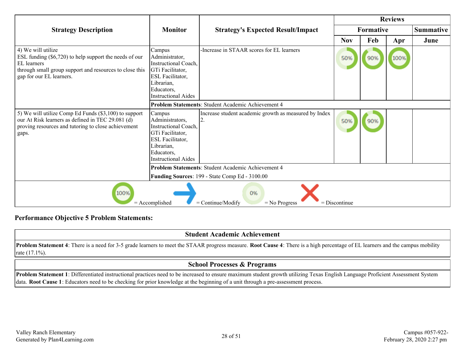|                                                                                                                                                                                      |                                                                                                                                                            |                                                             | <b>Reviews</b>  |                  |      |                  |
|--------------------------------------------------------------------------------------------------------------------------------------------------------------------------------------|------------------------------------------------------------------------------------------------------------------------------------------------------------|-------------------------------------------------------------|-----------------|------------------|------|------------------|
| <b>Strategy Description</b>                                                                                                                                                          | <b>Monitor</b>                                                                                                                                             | <b>Strategy's Expected Result/Impact</b>                    |                 | <b>Formative</b> |      | <b>Summative</b> |
|                                                                                                                                                                                      |                                                                                                                                                            |                                                             | <b>Nov</b>      | Feb              | Apr  | June             |
| 4) We will utilize<br>ESL funding $(\$6,720)$ to help support the needs of our<br>EL learners<br>through small group support and resources to close this<br>gap for our EL learners. | Campus<br>Administrator,<br>Instructional Coach,<br>GTi Facilitator,<br><b>ESL Facilitator,</b><br>Librarian,<br>Educators,<br><b>Instructional Aides</b>  | -Increase in STAAR scores for EL learners                   | 50%             | 90%              | 100% |                  |
|                                                                                                                                                                                      |                                                                                                                                                            | <b>Problem Statements: Student Academic Achievement 4</b>   |                 |                  |      |                  |
| 5) We will utilize Comp Ed Funds (\$3,100) to support<br>our At Risk learners as defined in TEC 29.081 (d)<br>proving resources and tutoring to close achievement<br>gaps.           | Campus<br>Administrators,<br>Instructional Coach.<br>GTi Facilitator,<br><b>ESL Facilitator,</b><br>Librarian,<br>Educators,<br><b>Instructional Aides</b> | Increase student academic growth as measured by Index<br>2. | 50%             | 90%              |      |                  |
|                                                                                                                                                                                      |                                                                                                                                                            | Problem Statements: Student Academic Achievement 4          |                 |                  |      |                  |
|                                                                                                                                                                                      |                                                                                                                                                            | Funding Sources: 199 - State Comp Ed - 3100.00              |                 |                  |      |                  |
| 100%                                                                                                                                                                                 | $=$ Accomplished                                                                                                                                           | 0%<br>$=$ Continue/Modify<br>$=$ No Progress                | $=$ Discontinue |                  |      |                  |

#### **Performance Objective 5 Problem Statements:**

### **Student Academic Achievement**

**Problem Statement 4**: There is a need for 3-5 grade learners to meet the STAAR progress measure. **Root Cause 4**: There is a high percentage of EL learners and the campus mobility rate (17.1%).

## **School Processes & Programs**

**Problem Statement 1**: Differentiated instructional practices need to be increased to ensure maximum student growth utilizing Texas English Language Proficient Assessment System data. **Root Cause 1**: Educators need to be checking for prior knowledge at the beginning of a unit through a pre-assessment process.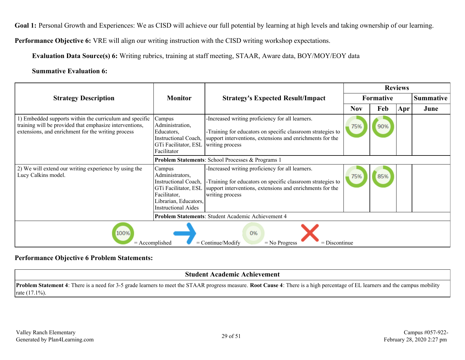Goal 1: Personal Growth and Experiences: We as CISD will achieve our full potential by learning at high levels and taking ownership of our learning.

**Performance Objective 6:** VRE will align our writing instruction with the CISD writing workshop expectations.

**Evaluation Data Source(s) 6:** Writing rubrics, training at staff meeting, STAAR, Aware data, BOY/MOY/EOY data

#### **Summative Evaluation 6:**

|                                                                                                                                                                          |                                                                                                                                                  |                                                                                                                                                                                                 | <b>Reviews</b> |                  |     |                  |
|--------------------------------------------------------------------------------------------------------------------------------------------------------------------------|--------------------------------------------------------------------------------------------------------------------------------------------------|-------------------------------------------------------------------------------------------------------------------------------------------------------------------------------------------------|----------------|------------------|-----|------------------|
| <b>Strategy Description</b>                                                                                                                                              | <b>Monitor</b>                                                                                                                                   | <b>Strategy's Expected Result/Impact</b>                                                                                                                                                        |                | <b>Formative</b> |     | <b>Summative</b> |
|                                                                                                                                                                          |                                                                                                                                                  |                                                                                                                                                                                                 | <b>Nov</b>     | Feb              | Apr | June             |
| 1) Embedded supports within the curriculum and specific<br>training will be provided that emphasize interventions,<br>extensions, and enrichment for the writing process | Campus<br>Administration,<br>Educators.<br>Instructional Coach,<br>GTi Facilitator, ESL<br>Facilitator                                           | -Increased writing proficiency for all learners.<br>-Training for educators on specific classroom strategies to<br>support interventions, extensions and enrichments for the<br>writing process | 75%            | 90%              |     |                  |
|                                                                                                                                                                          |                                                                                                                                                  | <b>Problem Statements: School Processes &amp; Programs 1</b>                                                                                                                                    |                |                  |     |                  |
| 2) We will extend our writing experience by using the<br>Lucy Calkins model.                                                                                             | Campus<br>Administrators,<br>Instructional Coach,<br>GTi Facilitator, ESL<br>Facilitator,<br>Librarian, Educators,<br><b>Instructional Aides</b> | -Increased writing proficiency for all learners.<br>-Training for educators on specific classroom strategies to<br>support interventions, extensions and enrichments for the<br>writing process | 75%            | 85%              |     |                  |
|                                                                                                                                                                          |                                                                                                                                                  | <b>Problem Statements: Student Academic Achievement 4</b>                                                                                                                                       |                |                  |     |                  |
| 100%<br>0%<br>$=$ Continue/Modify<br>$=$ Discontinue<br>$=$ Accomplished<br>$=$ No Progress                                                                              |                                                                                                                                                  |                                                                                                                                                                                                 |                |                  |     |                  |

#### **Performance Objective 6 Problem Statements:**

### **Student Academic Achievement**

**Problem Statement 4**: There is a need for 3-5 grade learners to meet the STAAR progress measure. **Root Cause 4**: There is a high percentage of EL learners and the campus mobility rate (17.1%).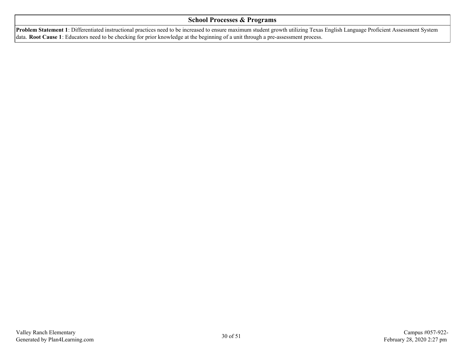#### **School Processes & Programs**

**Problem Statement 1**: Differentiated instructional practices need to be increased to ensure maximum student growth utilizing Texas English Language Proficient Assessment System data. **Root Cause 1**: Educators need to be checking for prior knowledge at the beginning of a unit through a pre-assessment process.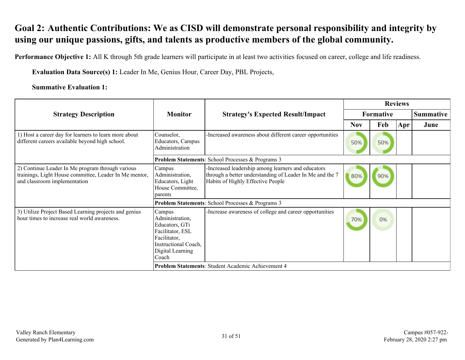# <span id="page-30-0"></span>**Goal 2: Authentic Contributions: We as CISD will demonstrate personal responsibility and integrity by using our unique passions, gifts, and talents as productive members of the global community.**

**Performance Objective 1:** All K through 5th grade learners will participate in at least two activities focused on career, college and life readiness.

**Evaluation Data Source(s) 1:** Leader In Me, Genius Hour, Career Day, PBL Projects,

#### **Summative Evaluation 1:**

|                                                                                                                                            |                                                                                                                                      |                                                                                                                                                     | <b>Reviews</b> |                  |     |                  |
|--------------------------------------------------------------------------------------------------------------------------------------------|--------------------------------------------------------------------------------------------------------------------------------------|-----------------------------------------------------------------------------------------------------------------------------------------------------|----------------|------------------|-----|------------------|
| <b>Strategy Description</b>                                                                                                                | <b>Monitor</b>                                                                                                                       | <b>Strategy's Expected Result/Impact</b>                                                                                                            |                | <b>Formative</b> |     | <b>Summative</b> |
|                                                                                                                                            |                                                                                                                                      |                                                                                                                                                     | <b>Nov</b>     | Feb              | Apr | June             |
| 1) Host a career day for learners to learn more about<br>different careers available beyond high school.                                   | Counselor,<br>Educators, Campus<br>Administration                                                                                    | -Increased awareness about different career opportunities                                                                                           | 50%            | 50%              |     |                  |
|                                                                                                                                            |                                                                                                                                      | Problem Statements: School Processes & Programs 3                                                                                                   |                |                  |     |                  |
| 2) Continue Leader In Me program through various<br>trainings, Light House committee, Leader In Me mentor,<br>and classroom implementation | Campus<br>Administration,<br>Educators, Light<br>House Committee,<br>parents                                                         | -Increased leadership among learners and educators<br>through a better understanding of Leader In Me and the 7<br>Habits of Highly Effective People | 80%            | 90%              |     |                  |
|                                                                                                                                            |                                                                                                                                      | Problem Statements: School Processes & Programs 3                                                                                                   |                |                  |     |                  |
| 3) Utilize Project Based Learning projects and genius<br>hour times to increase real world awareness.                                      | Campus<br>Administration,<br>Educators, GTi<br>Facilitator, ESL<br>Facilitator,<br>Instructional Coach,<br>Digital Learning<br>Coach | -Increase awareness of college and career opportunities                                                                                             | 70%            | 0%               |     |                  |
| Problem Statements: Student Academic Achievement 4                                                                                         |                                                                                                                                      |                                                                                                                                                     |                |                  |     |                  |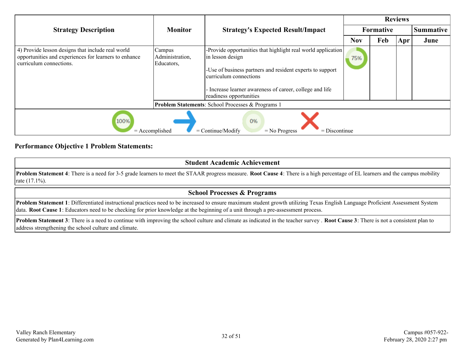|                                                                                                                                       |                                         |                                                                                                                                                                                                                                                                | <b>Reviews</b> |                  |     |           |
|---------------------------------------------------------------------------------------------------------------------------------------|-----------------------------------------|----------------------------------------------------------------------------------------------------------------------------------------------------------------------------------------------------------------------------------------------------------------|----------------|------------------|-----|-----------|
| <b>Strategy Description</b>                                                                                                           | <b>Monitor</b>                          | <b>Strategy's Expected Result/Impact</b>                                                                                                                                                                                                                       |                | <b>Formative</b> |     | Summative |
|                                                                                                                                       |                                         |                                                                                                                                                                                                                                                                | <b>Nov</b>     | Feb              | Apr | June      |
| 4) Provide lesson designs that include real world<br>opportunities and experiences for learners to enhance<br>curriculum connections. | Campus<br>Administration,<br>Educators, | -Provide opportunities that highlight real world application<br>in lesson design<br>-Use of business partners and resident experts to support<br>curriculum connections<br>- Increase learner awareness of career, college and life<br>readiness opportunities | 75%            |                  |     |           |
|                                                                                                                                       |                                         | Problem Statements: School Processes & Programs 1                                                                                                                                                                                                              |                |                  |     |           |
| 100%<br>$=$ Accomplished                                                                                                              |                                         | 0%<br>$=$ Continue/Modify<br>$=$ Discontinue<br>$=$ No Progress                                                                                                                                                                                                |                |                  |     |           |

#### **Performance Objective 1 Problem Statements:**

| <b>Student Academic Achievement</b>                                                                                                                                                                          |
|--------------------------------------------------------------------------------------------------------------------------------------------------------------------------------------------------------------|
| <b>Problem Statement 4</b> : There is a need for 3-5 grade learners to meet the STAAR progress measure. Root Cause 4: There is a high percentage of EL learners and the campus mobility<br>rate $(17.1\%)$ . |
| <b>School Processes &amp; Programs</b>                                                                                                                                                                       |

**Problem Statement 1**: Differentiated instructional practices need to be increased to ensure maximum student growth utilizing Texas English Language Proficient Assessment System data. **Root Cause 1**: Educators need to be checking for prior knowledge at the beginning of a unit through a pre-assessment process.

**Problem Statement 3**: There is a need to continue with improving the school culture and climate as indicated in the teacher survey . **Root Cause 3**: There is not a consistent plan to address strengthening the school culture and climate.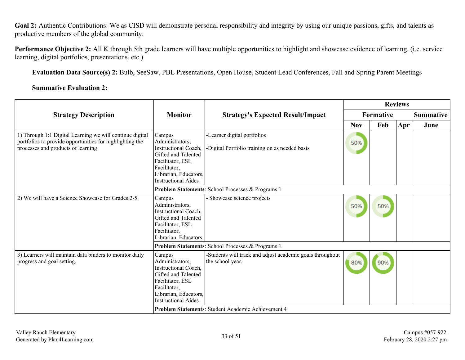Goal 2: Authentic Contributions: We as CISD will demonstrate personal responsibility and integrity by using our unique passions, gifts, and talents as productive members of the global community.

**Performance Objective 2:** All K through 5th grade learners will have multiple opportunities to highlight and showcase evidence of learning. (i.e. service learning, digital portfolios, presentations, etc.)

**Evaluation Data Source(s) 2:** Bulb, SeeSaw, PBL Presentations, Open House, Student Lead Conferences, Fall and Spring Parent Meetings

**Summative Evaluation 2:**

|                                                                                                                                                            |                                                                                                                                                                            |                                                                               | <b>Reviews</b> |                  |                  |      |  |
|------------------------------------------------------------------------------------------------------------------------------------------------------------|----------------------------------------------------------------------------------------------------------------------------------------------------------------------------|-------------------------------------------------------------------------------|----------------|------------------|------------------|------|--|
| <b>Strategy Description</b>                                                                                                                                | <b>Monitor</b>                                                                                                                                                             | <b>Strategy's Expected Result/Impact</b>                                      |                | <b>Formative</b> | <b>Summative</b> |      |  |
|                                                                                                                                                            |                                                                                                                                                                            |                                                                               | <b>Nov</b>     | Feb              | Apr              | June |  |
| 1) Through 1:1 Digital Learning we will continue digital<br>portfolios to provide opportunities for highlighting the<br>processes and products of learning | Campus<br>Administrators,<br><b>Instructional Coach,</b><br>Gifted and Talented<br>Facilitator, ESL<br>Facilitator,<br>Librarian, Educators,<br><b>Instructional Aides</b> | -Learner digital portfolios<br>-Digital Portfolio training on as needed basis | 50%            |                  |                  |      |  |
|                                                                                                                                                            | Problem Statements: School Processes & Programs 1                                                                                                                          |                                                                               |                |                  |                  |      |  |
| 2) We will have a Science Showcase for Grades 2-5.                                                                                                         | Campus<br>Administrators,<br><b>Instructional Coach,</b><br>Gifted and Talented<br>Facilitator, ESL<br>Facilitator,<br>Librarian, Educators,                               | Showcase science projects                                                     | 50%            | 50%              |                  |      |  |
|                                                                                                                                                            |                                                                                                                                                                            | Problem Statements: School Processes & Programs 1                             |                |                  |                  |      |  |
| 3) Learners will maintain data binders to monitor daily<br>progress and goal setting.                                                                      | Campus<br>Administrators,<br><b>Instructional Coach,</b><br>Gifted and Talented<br>Facilitator, ESL<br>Facilitator,<br>Librarian, Educators,<br><b>Instructional Aides</b> | -Students will track and adjust academic goals throughout<br>the school year. | 80%            | 90%              |                  |      |  |
|                                                                                                                                                            |                                                                                                                                                                            | Problem Statements: Student Academic Achievement 4                            |                |                  |                  |      |  |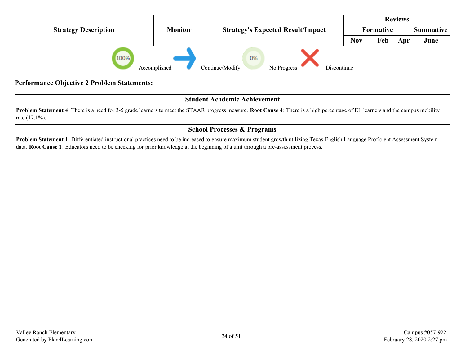|                             |                |                                                                 |  |                  | <b>Reviews</b> |           |
|-----------------------------|----------------|-----------------------------------------------------------------|--|------------------|----------------|-----------|
| <b>Strategy Description</b> | <b>Monitor</b> | <b>Strategy's Expected Result/Impact</b>                        |  | <b>Formative</b> |                | Summative |
|                             |                |                                                                 |  | Feb              | Apr            | June      |
| 100%<br>$=$ Accomplished    |                | 0%<br>$=$ Continue/Modify<br>$=$ Discontinue<br>$=$ No Progress |  |                  |                |           |

#### **Performance Objective 2 Problem Statements:**

**Student Academic Achievement**

**Problem Statement 4**: There is a need for 3-5 grade learners to meet the STAAR progress measure. **Root Cause 4**: There is a high percentage of EL learners and the campus mobility rate (17.1%).

## **School Processes & Programs**

**Problem Statement 1**: Differentiated instructional practices need to be increased to ensure maximum student growth utilizing Texas English Language Proficient Assessment System data. **Root Cause 1**: Educators need to be checking for prior knowledge at the beginning of a unit through a pre-assessment process.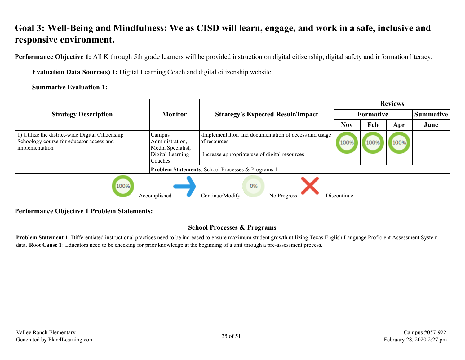# <span id="page-34-0"></span>**Goal 3: Well-Being and Mindfulness: We as CISD will learn, engage, and work in a safe, inclusive and responsive environment.**

**Performance Objective 1:** All K through 5th grade learners will be provided instruction on digital citizenship, digital safety and information literacy.

**Evaluation Data Source(s) 1:** Digital Learning Coach and digital citizenship website

**Summative Evaluation 1:**

|                                                                                                                |                                                                               |                                                                                                                         |                 | <b>Reviews</b> |      |                  |
|----------------------------------------------------------------------------------------------------------------|-------------------------------------------------------------------------------|-------------------------------------------------------------------------------------------------------------------------|-----------------|----------------|------|------------------|
| <b>Strategy Description</b>                                                                                    | <b>Monitor</b>                                                                | <b>Strategy's Expected Result/Impact</b>                                                                                |                 | Formative      |      | <b>Summative</b> |
|                                                                                                                |                                                                               |                                                                                                                         | <b>Nov</b>      | Feb            | Apr  | June             |
| 1) Utilize the district-wide Digital Citizenship<br>Schoology course for educator access and<br>implementation | Campus<br>Administration,<br>Media Specialist,<br>Digital Learning<br>Coaches | -Implementation and documentation of access and usage<br>of resources<br>-Increase appropriate use of digital resources | 100%            | 100%           | 100% |                  |
|                                                                                                                |                                                                               | <b>Problem Statements: School Processes &amp; Programs 1</b>                                                            |                 |                |      |                  |
| 100%                                                                                                           | $=$ Accomplished                                                              | 0%<br>$=$ Continue/Modify<br>$=$ No Progress                                                                            | $=$ Discontinue |                |      |                  |

## **Performance Objective 1 Problem Statements:**

#### **School Processes & Programs**

**Problem Statement 1**: Differentiated instructional practices need to be increased to ensure maximum student growth utilizing Texas English Language Proficient Assessment System data. **Root Cause 1**: Educators need to be checking for prior knowledge at the beginning of a unit through a pre-assessment process.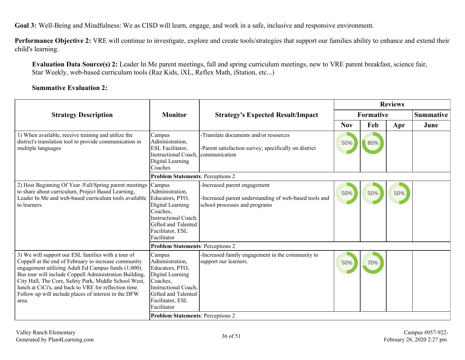**Goal 3:** Well-Being and Mindfulness: We as CISD will learn, engage, and work in a safe, inclusive and responsive environment.

**Performance Objective 2:** VRE will continue to investigate, explore and create tools/strategies that support our families ability to enhance and extend their child's learning.

**Evaluation Data Source(s) 2:** Leader In Me parent meetings, fall and spring curriculum meetings, new to VRE parent breakfast, science fair, Star Weekly, web-based curriculum tools (Raz Kids, iXL, Reflex Math, iStation, etc...)

#### **Summative Evaluation 2:**

|                                                                                                                                                                                                                                                                                                                                                                                                                |                                                                                                                                                                       |                                                                                                                         | <b>Reviews</b>   |     |     |           |  |
|----------------------------------------------------------------------------------------------------------------------------------------------------------------------------------------------------------------------------------------------------------------------------------------------------------------------------------------------------------------------------------------------------------------|-----------------------------------------------------------------------------------------------------------------------------------------------------------------------|-------------------------------------------------------------------------------------------------------------------------|------------------|-----|-----|-----------|--|
| <b>Strategy Description</b>                                                                                                                                                                                                                                                                                                                                                                                    | <b>Monitor</b>                                                                                                                                                        | <b>Strategy's Expected Result/Impact</b>                                                                                | <b>Formative</b> |     |     | Summative |  |
|                                                                                                                                                                                                                                                                                                                                                                                                                |                                                                                                                                                                       |                                                                                                                         | <b>Nov</b>       | Feb | Apr | June      |  |
| 1) When available, receive training and utilize the<br>district's translation tool to provide communication in<br>multiple languages                                                                                                                                                                                                                                                                           | Campus<br>Administration,<br>ESL Facilitator,<br><b>Instructional Coach.</b><br>Digital Learning<br>Coaches                                                           | -Translate documents and/or resources<br>-Parent satisfaction survey, specifically on district<br><i>communication</i>  | 50%              | 80% |     |           |  |
|                                                                                                                                                                                                                                                                                                                                                                                                                | <b>Problem Statements: Perceptions 2</b>                                                                                                                              |                                                                                                                         |                  |     |     |           |  |
| 2) Host Beginning Of Year /Fall/Spring parent meetings<br>to share about curriculum, Project Based Learning,<br>Leader In Me and web-based curriculum tools available<br>to learners.                                                                                                                                                                                                                          | Campus<br>Administration,<br>Educators, PTO,<br>Digital Learning<br>Coaches,<br><b>Instructional Coach,</b><br>Gifted and Talented<br>Facilitator, ESL<br>Facilitator | -Increased parent engagement<br>-Increased parent understanding of web-based tools and<br>school processes and programs | 50%              | 50% | 50% |           |  |
|                                                                                                                                                                                                                                                                                                                                                                                                                | <b>Problem Statements: Perceptions 2</b>                                                                                                                              |                                                                                                                         |                  |     |     |           |  |
| 3) We will support our ESL families with a tour of<br>Coppell at the end of February to increase community<br>engagement utilizing Adult Ed Campus funds (1,000).<br>Bus tour will include Coppell Administration Building,<br>City Hall, The Core, Safety Park, Middle School West,<br>lunch at CiCi's, and back to VRE for reflection time.<br>Follow up will include places of interest in the DFW<br>area. | Campus<br>Administration,<br>Educators, PTO,<br>Digital Learning<br>Coaches,<br><b>Instructional Coach,</b><br>Gifted and Talented<br>Facilitator, ESL<br>Facilitator | -Increased family engagement in the community to<br>support our learners.                                               | 50%              | 70% |     |           |  |
|                                                                                                                                                                                                                                                                                                                                                                                                                | <b>Problem Statements: Perceptions 2</b>                                                                                                                              |                                                                                                                         |                  |     |     |           |  |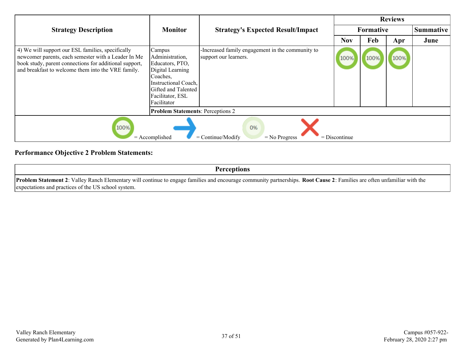|                                                                                                                                                                                                                          |                                                                                                                                                                |                                                                           |                 | <b>Reviews</b>   |      |                  |
|--------------------------------------------------------------------------------------------------------------------------------------------------------------------------------------------------------------------------|----------------------------------------------------------------------------------------------------------------------------------------------------------------|---------------------------------------------------------------------------|-----------------|------------------|------|------------------|
| <b>Strategy Description</b>                                                                                                                                                                                              | <b>Monitor</b>                                                                                                                                                 | <b>Strategy's Expected Result/Impact</b>                                  |                 | <b>Formative</b> |      | <b>Summative</b> |
|                                                                                                                                                                                                                          |                                                                                                                                                                |                                                                           | <b>Nov</b>      | Feb              | Apr  | June             |
| 4) We will support our ESL families, specifically<br>newcomer parents, each semester with a Leader In Me<br>book study, parent connections for additional support,<br>and breakfast to welcome them into the VRE family. | Campus<br>Administration,<br>Educators, PTO,<br>Digital Learning<br>Coaches,<br>Instructional Coach,<br>Gifted and Talented<br>Facilitator, ESL<br>Facilitator | -Increased family engagement in the community to<br>support our learners. | 100%            | 100%             | 100% |                  |
|                                                                                                                                                                                                                          | <b>Problem Statements: Perceptions 2</b>                                                                                                                       |                                                                           |                 |                  |      |                  |
| 100%                                                                                                                                                                                                                     | $=$ Accomplished                                                                                                                                               | 0%<br>$=$ Continue/Modify<br>$=$ No Progress                              | $=$ Discontinue |                  |      |                  |

## **Performance Objective 2 Problem Statements:**

**Perceptions**

**Problem Statement 2**: Valley Ranch Elementary will continue to engage families and encourage community partnerships. **Root Cause 2**: Families are often unfamiliar with the expectations and practices of the US school system.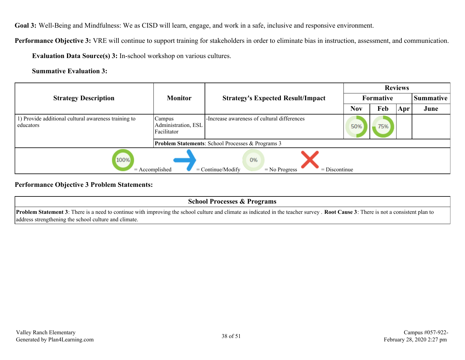**Goal 3:** Well-Being and Mindfulness: We as CISD will learn, engage, and work in a safe, inclusive and responsive environment.

**Performance Objective 3:** VRE will continue to support training for stakeholders in order to eliminate bias in instruction, assessment, and communication.

**Evaluation Data Source(s) 3:** In-school workshop on various cultures.

**Summative Evaluation 3:**

|                                                                   |                                              |                                                                 | <b>Reviews</b> |                  |     |                  |  |
|-------------------------------------------------------------------|----------------------------------------------|-----------------------------------------------------------------|----------------|------------------|-----|------------------|--|
| <b>Strategy Description</b>                                       | <b>Monitor</b>                               | <b>Strategy's Expected Result/Impact</b>                        |                | <b>Formative</b> |     | <b>Summative</b> |  |
|                                                                   |                                              |                                                                 | <b>Nov</b>     | Feb              | Apr | June             |  |
| 1) Provide additional cultural awareness training to<br>educators | Campus<br>Administration, ESL<br>Facilitator | -Increase awareness of cultural differences                     | 50%            | 75%              |     |                  |  |
|                                                                   |                                              | <b>Problem Statements:</b> School Processes & Programs 3        |                |                  |     |                  |  |
| 100%<br>$=$ Accomplished                                          |                                              | 0%<br>$=$ Discontinue<br>$=$ Continue/Modify<br>$=$ No Progress |                |                  |     |                  |  |

**Performance Objective 3 Problem Statements:**

| <b>School Processes &amp; Programs</b>                                                                                                                                                             |
|----------------------------------------------------------------------------------------------------------------------------------------------------------------------------------------------------|
| <b>Problem Statement 3</b> : There is a need to continue with improving the school culture and climate as indicated in the teacher survey. <b>Root Cause 3</b> : There is not a consistent plan to |
| address strengthening the school culture and climate.                                                                                                                                              |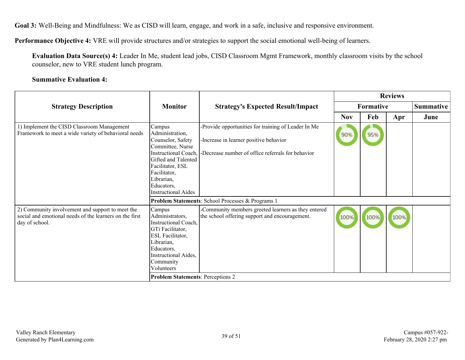**Goal 3:** Well-Being and Mindfulness: We as CISD will learn, engage, and work in a safe, inclusive and responsive environment.

**Performance Objective 4:** VRE will provide structures and/or strategies to support the social emotional well-being of learners.

**Evaluation Data Source(s) 4:** Leader In Me, student lead jobs, CISD Classroom Mgmt Framework, monthly classroom visits by the school counselor, new to VRE student lunch program.

#### **Summative Evaluation 4:**

|                                                                                                                               |                                                                                                                                                                                                                 |                                                                                                                                                    | <b>Reviews</b> |           |      |                  |
|-------------------------------------------------------------------------------------------------------------------------------|-----------------------------------------------------------------------------------------------------------------------------------------------------------------------------------------------------------------|----------------------------------------------------------------------------------------------------------------------------------------------------|----------------|-----------|------|------------------|
| <b>Strategy Description</b>                                                                                                   | <b>Monitor</b>                                                                                                                                                                                                  | <b>Strategy's Expected Result/Impact</b>                                                                                                           |                | Formative |      | <b>Summative</b> |
|                                                                                                                               |                                                                                                                                                                                                                 |                                                                                                                                                    | <b>Nov</b>     | Feb       | Apr  | June             |
| 1) Implement the CISD Classroom Management<br>Framework to meet a wide variety of behavioral needs                            | Campus<br>Administration,<br>Counselor, Safety<br>Committee, Nurse<br>Instructional Coach,<br>Gifted and Talented<br>Facilitator, ESL<br>Facilitator,<br>Librarian,<br>Educators,<br><b>Instructional Aides</b> | -Provide opportunities for training of Leader In Me<br>-Increase in learner positive behavior<br>-Decrease number of office referrals for behavior | 90%            | 95%       |      |                  |
|                                                                                                                               |                                                                                                                                                                                                                 | Problem Statements: School Processes & Programs 1                                                                                                  |                |           |      |                  |
| 2) Community involvement and support to meet the<br>social and emotional needs of the learners on the first<br>day of school. | Campus<br>Administrators,<br>Instructional Coach,<br>GTi Facilitator,<br>ESL Facilitator,<br>Librarian,<br>Educators,<br>Instructional Aides,<br>Community<br>Volunteers                                        | -Community members greeted learners as they entered<br>the school offering support and encouragement.                                              | 100%           | 100%      | 100% |                  |
|                                                                                                                               | <b>Problem Statements: Perceptions 2</b>                                                                                                                                                                        |                                                                                                                                                    |                |           |      |                  |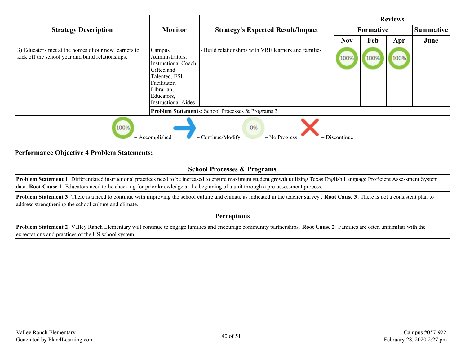|                                                                                                           |                                                                                                                                                     |                                                          | <b>Reviews</b> |           |      |                  |  |
|-----------------------------------------------------------------------------------------------------------|-----------------------------------------------------------------------------------------------------------------------------------------------------|----------------------------------------------------------|----------------|-----------|------|------------------|--|
| <b>Strategy Description</b>                                                                               | <b>Monitor</b>                                                                                                                                      | <b>Strategy's Expected Result/Impact</b>                 |                | Formative |      | <b>Summative</b> |  |
|                                                                                                           |                                                                                                                                                     |                                                          | <b>Nov</b>     | Feb       | Apr  | June             |  |
| 3) Educators met at the homes of our new learners to<br>kick off the school year and build relationships. | Campus<br>Administrators,<br>Instructional Coach,<br>Gifted and<br>Talented, ESL<br>Facilitator,<br>Librarian,<br>Educators,<br>Instructional Aides | Build relationships with VRE learners and families       | 100%           | 100%      | 100% |                  |  |
|                                                                                                           |                                                                                                                                                     | <b>Problem Statements:</b> School Processes & Programs 3 |                |           |      |                  |  |
| 100%<br>0%<br>$=$ Accomplished<br>$=$ Continue/Modify<br>$=$ Discontinue<br>$=$ No Progress               |                                                                                                                                                     |                                                          |                |           |      |                  |  |

#### **Performance Objective 4 Problem Statements:**

#### **School Processes & Programs**

**Problem Statement 1**: Differentiated instructional practices need to be increased to ensure maximum student growth utilizing Texas English Language Proficient Assessment System data. **Root Cause 1**: Educators need to be checking for prior knowledge at the beginning of a unit through a pre-assessment process.

**Problem Statement 3**: There is a need to continue with improving the school culture and climate as indicated in the teacher survey . **Root Cause 3**: There is not a consistent plan to address strengthening the school culture and climate.

#### **Perceptions**

**Problem Statement 2**: Valley Ranch Elementary will continue to engage families and encourage community partnerships. **Root Cause 2**: Families are often unfamiliar with the expectations and practices of the US school system.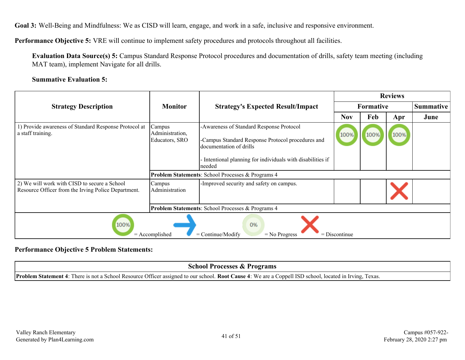**Goal 3:** Well-Being and Mindfulness: We as CISD will learn, engage, and work in a safe, inclusive and responsive environment.

**Performance Objective 5:** VRE will continue to implement safety procedures and protocols throughout all facilities.

**Evaluation Data Source(s) 5:** Campus Standard Response Protocol procedures and documentation of drills, safety team meeting (including MAT team), implement Navigate for all drills.

#### **Summative Evaluation 5:**

|                                                                                                     |                                                              |                                                                                                                                                                                                 | <b>Reviews</b> |                  |      |                  |  |  |
|-----------------------------------------------------------------------------------------------------|--------------------------------------------------------------|-------------------------------------------------------------------------------------------------------------------------------------------------------------------------------------------------|----------------|------------------|------|------------------|--|--|
| <b>Strategy Description</b>                                                                         | <b>Monitor</b>                                               | <b>Strategy's Expected Result/Impact</b>                                                                                                                                                        |                | <b>Formative</b> |      | <b>Summative</b> |  |  |
|                                                                                                     |                                                              |                                                                                                                                                                                                 | <b>Nov</b>     | Feb              | Apr  | June             |  |  |
| 1) Provide awareness of Standard Response Protocol at<br>a staff training.                          | Campus<br>Administration,<br>Educators, SRO                  | -Awareness of Standard Response Protocol<br>-Campus Standard Response Protocol procedures and<br>documentation of drills<br>Intentional planning for individuals with disabilities if<br>needed | 100%           | 100%             | 100% |                  |  |  |
|                                                                                                     |                                                              | Problem Statements: School Processes & Programs 4                                                                                                                                               |                |                  |      |                  |  |  |
| 2) We will work with CISD to secure a School<br>Resource Officer from the Irving Police Department. | Campus<br>Administration                                     | -Improved security and safety on campus.                                                                                                                                                        |                |                  |      |                  |  |  |
|                                                                                                     | <b>Problem Statements: School Processes &amp; Programs 4</b> |                                                                                                                                                                                                 |                |                  |      |                  |  |  |
| 100%<br>0%<br>$=$ Continue/Modify<br>$=$ Accomplished<br>$=$ Discontinue<br>$=$ No Progress         |                                                              |                                                                                                                                                                                                 |                |                  |      |                  |  |  |

#### **Performance Objective 5 Problem Statements:**

| School Processes & Programs                                                                                                                                     |  |
|-----------------------------------------------------------------------------------------------------------------------------------------------------------------|--|
| <b>Problem Statement 4:</b> There is not a School Resource Officer assigned to our school. Root Cause 4: We are a Coppell ISD school, located in Irving, Texas. |  |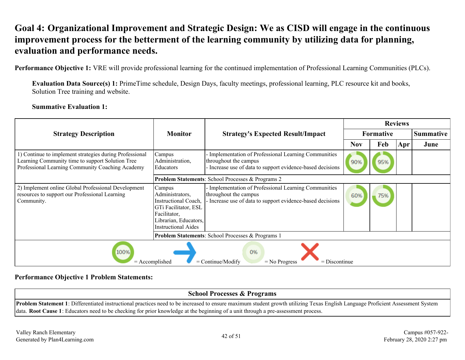# <span id="page-41-0"></span>**Goal 4: Organizational Improvement and Strategic Design: We as CISD will engage in the continuous improvement process for the betterment of the learning community by utilizing data for planning, evaluation and performance needs.**

**Performance Objective 1:** VRE will provide professional learning for the continued implementation of Professional Learning Communities (PLCs).

**Evaluation Data Source(s) 1:** PrimeTime schedule, Design Days, faculty meetings, professional learning, PLC resource kit and books, Solution Tree training and website.

**Summative Evaluation 1:**

|                                                                                                                                                                 |                                                                                                                                                         |                                                                                                                                            |            | <b>Reviews</b>   |     |                  |  |  |
|-----------------------------------------------------------------------------------------------------------------------------------------------------------------|---------------------------------------------------------------------------------------------------------------------------------------------------------|--------------------------------------------------------------------------------------------------------------------------------------------|------------|------------------|-----|------------------|--|--|
| <b>Strategy Description</b>                                                                                                                                     | <b>Monitor</b>                                                                                                                                          | <b>Strategy's Expected Result/Impact</b>                                                                                                   |            | <b>Formative</b> |     | <b>Summative</b> |  |  |
|                                                                                                                                                                 |                                                                                                                                                         |                                                                                                                                            | <b>Nov</b> | Feb              | Apr | June             |  |  |
| 1) Continue to implement strategies during Professional<br>Learning Community time to support Solution Tree<br>Professional Learning Community Coaching Academy | Campus<br>Administration,<br>Educators                                                                                                                  | Implementation of Professional Learning Communities<br>throughout the campus<br>- Increase use of data to support evidence-based decisions | 90%        | 95%              |     |                  |  |  |
|                                                                                                                                                                 |                                                                                                                                                         | <b>Problem Statements: School Processes &amp; Programs 2</b>                                                                               |            |                  |     |                  |  |  |
| 2) Implement online Global Professional Development<br>resources to support our Professional Learning<br>Community.                                             | Campus<br>Administrators.<br>Instructional Coach.<br><b>GTi Facilitator, ESL</b><br>Facilitator,<br>Librarian, Educators,<br><b>Instructional Aides</b> | Implementation of Professional Learning Communities<br>throughout the campus<br>- Increase use of data to support evidence-based decisions | 60%        | 75%              |     |                  |  |  |
|                                                                                                                                                                 | <b>Problem Statements: School Processes &amp; Programs 1</b>                                                                                            |                                                                                                                                            |            |                  |     |                  |  |  |
| 100%<br>0%<br>$=$ Continue/Modify<br>$=$ Discontinue<br>$=$ Accomplished<br>$=$ No Progress                                                                     |                                                                                                                                                         |                                                                                                                                            |            |                  |     |                  |  |  |

#### **Performance Objective 1 Problem Statements:**

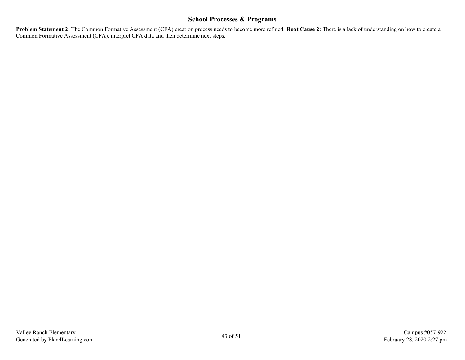#### **School Processes & Programs**

**Problem Statement 2**: The Common Formative Assessment (CFA) creation process needs to become more refined. **Root Cause 2**: There is a lack of understanding on how to create a Common Formative Assessment (CFA), interpret CFA data and then determine next steps.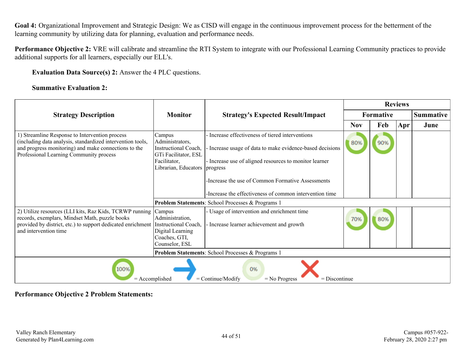**Goal 4:** Organizational Improvement and Strategic Design: We as CISD will engage in the continuous improvement process for the betterment of the learning community by utilizing data for planning, evaluation and performance needs.

**Performance Objective 2:** VRE will calibrate and streamline the RTI System to integrate with our Professional Learning Community practices to provide additional supports for all learners, especially our ELL's.

**Evaluation Data Source(s) 2:** Answer the 4 PLC questions.

#### **Summative Evaluation 2:**

|                                                                                                                                                                                                                               |                                                                                                                   |                                                                                                                                                                                 |            |           | <b>Reviews</b> |                  |  |
|-------------------------------------------------------------------------------------------------------------------------------------------------------------------------------------------------------------------------------|-------------------------------------------------------------------------------------------------------------------|---------------------------------------------------------------------------------------------------------------------------------------------------------------------------------|------------|-----------|----------------|------------------|--|
| <b>Strategy Description</b>                                                                                                                                                                                                   | <b>Monitor</b>                                                                                                    | <b>Strategy's Expected Result/Impact</b>                                                                                                                                        |            | Formative |                | <b>Summative</b> |  |
|                                                                                                                                                                                                                               |                                                                                                                   |                                                                                                                                                                                 | <b>Nov</b> | Feb       | Apr            | June             |  |
| 1) Streamline Response to Intervention process<br>(including data analysis, standardized intervention tools,<br>and progress monitoring) and make connections to the<br>Professional Learning Community process               | Campus<br>Administrators,<br>Instructional Coach,<br>GTi Facilitator, ESL<br>Facilitator,<br>Librarian, Educators | Increase effectiveness of tiered interventions<br>Increase usage of data to make evidence-based decisions<br>- Increase use of aligned resources to monitor learner<br>progress | 80%        | 90%       |                |                  |  |
|                                                                                                                                                                                                                               |                                                                                                                   | -Increase the use of Common Formative Assessments                                                                                                                               |            |           |                |                  |  |
|                                                                                                                                                                                                                               |                                                                                                                   | -Increase the effectiveness of common intervention time                                                                                                                         |            |           |                |                  |  |
|                                                                                                                                                                                                                               |                                                                                                                   | Problem Statements: School Processes & Programs 1                                                                                                                               |            |           |                |                  |  |
| 2) Utilize resources (LLI kits, Raz Kids, TCRWP running Campus<br>records, exemplars, Mindset Math, puzzle books<br>provided by district, etc.) to support dedicated enrichment Instructional Coach,<br>and intervention time | Administration,<br>Digital Learning<br>Coaches, GTI,<br>Counselor, ESL                                            | - Usage of intervention and enrichment time<br>Increase learner achievement and growth                                                                                          | 70%        | 80%       |                |                  |  |
| <b>Problem Statements: School Processes &amp; Programs 1</b>                                                                                                                                                                  |                                                                                                                   |                                                                                                                                                                                 |            |           |                |                  |  |
| 100%<br>0%<br>$=$ Continue/Modify<br>$=$ Accomplished<br>$=$ No Progress<br>$=$ Discontinue                                                                                                                                   |                                                                                                                   |                                                                                                                                                                                 |            |           |                |                  |  |

#### **Performance Objective 2 Problem Statements:**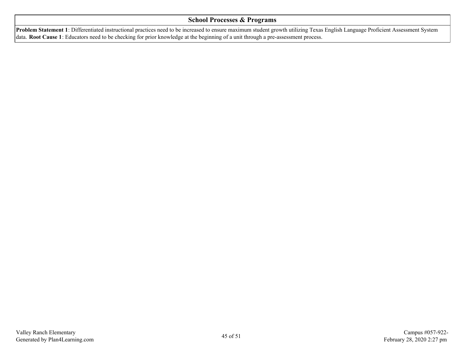#### **School Processes & Programs**

**Problem Statement 1**: Differentiated instructional practices need to be increased to ensure maximum student growth utilizing Texas English Language Proficient Assessment System data. **Root Cause 1**: Educators need to be checking for prior knowledge at the beginning of a unit through a pre-assessment process.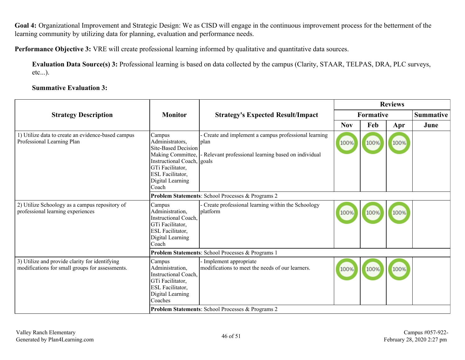**Goal 4:** Organizational Improvement and Strategic Design: We as CISD will engage in the continuous improvement process for the betterment of the learning community by utilizing data for planning, evaluation and performance needs.

**Performance Objective 3:** VRE will create professional learning informed by qualitative and quantitative data sources.

**Evaluation Data Source(s) 3:** Professional learning is based on data collected by the campus (Clarity, STAAR, TELPAS, DRA, PLC surveys, etc...).

#### **Summative Evaluation 3:**

|                                                                                                                                 |                                                                                                                   | <b>Reviews</b>                                                                                                                                                     |      |      |                  |  |
|---------------------------------------------------------------------------------------------------------------------------------|-------------------------------------------------------------------------------------------------------------------|--------------------------------------------------------------------------------------------------------------------------------------------------------------------|------|------|------------------|--|
| <b>Monitor</b>                                                                                                                  | <b>Strategy's Expected Result/Impact</b>                                                                          |                                                                                                                                                                    |      |      | <b>Summative</b> |  |
|                                                                                                                                 |                                                                                                                   | <b>Nov</b>                                                                                                                                                         | Feb  | Apr  | June             |  |
| Campus<br>Administrators,<br>Making Committee,<br>GTi Facilitator,<br>ESL Facilitator,<br>Digital Learning<br>Coach             | Create and implement a campus professional learning<br>plan<br>Relevant professional learning based on individual | 100%                                                                                                                                                               | 100% | 100% |                  |  |
|                                                                                                                                 |                                                                                                                   |                                                                                                                                                                    |      |      |                  |  |
| Campus<br>Administration,<br><b>Instructional Coach,</b><br>GTi Facilitator,<br>ESL Facilitator,<br>Digital Learning<br>Coach   | Create professional learning within the Schoology<br>platform                                                     | 100%                                                                                                                                                               | 100% | 100% |                  |  |
| Problem Statements: School Processes & Programs 1                                                                               |                                                                                                                   |                                                                                                                                                                    |      |      |                  |  |
| Campus<br>Administration,<br><b>Instructional Coach,</b><br>GTi Facilitator,<br>ESL Facilitator,<br>Digital Learning<br>Coaches | Implement appropriate<br>modifications to meet the needs of our learners.                                         | 100%                                                                                                                                                               | 100% | 100% |                  |  |
|                                                                                                                                 |                                                                                                                   | <b>Site-Based Decision</b><br>Instructional Coach, goals<br>Problem Statements: School Processes & Programs 2<br>Problem Statements: School Processes & Programs 2 |      |      | <b>Formative</b> |  |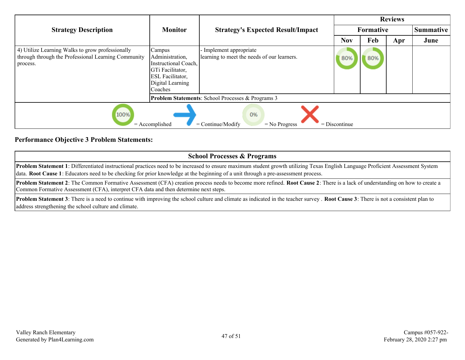|                                                                                                                     |                                                                                                                                 |                                                                      | <b>Reviews</b> |     |     |                  |  |
|---------------------------------------------------------------------------------------------------------------------|---------------------------------------------------------------------------------------------------------------------------------|----------------------------------------------------------------------|----------------|-----|-----|------------------|--|
| <b>Strategy Description</b>                                                                                         | <b>Monitor</b>                                                                                                                  | <b>Strategy's Expected Result/Impact</b>                             | Formative      |     |     | <b>Summative</b> |  |
|                                                                                                                     |                                                                                                                                 |                                                                      | <b>Nov</b>     | Feb | Apr | June             |  |
| 4) Utilize Learning Walks to grow professionally<br>through through the Professional Learning Community<br>process. | Campus<br>Administration,<br>Instructional Coach,<br>GTi Facilitator,<br><b>ESL Facilitator,</b><br>Digital Learning<br>Coaches | Implement appropriate<br>learning to meet the needs of our learners. | 80%            | 80% |     |                  |  |
|                                                                                                                     |                                                                                                                                 | <b>Problem Statements:</b> School Processes & Programs 3             |                |     |     |                  |  |
| 100%<br>0%<br>$=$ Accomplished<br>$=$ Continue/Modify<br>$=$ Discontinue<br>$=$ No Progress                         |                                                                                                                                 |                                                                      |                |     |     |                  |  |

#### **Performance Objective 3 Problem Statements:**

## **School Processes & Programs**

**Problem Statement 1**: Differentiated instructional practices need to be increased to ensure maximum student growth utilizing Texas English Language Proficient Assessment System data. **Root Cause 1**: Educators need to be checking for prior knowledge at the beginning of a unit through a pre-assessment process.

**Problem Statement 2**: The Common Formative Assessment (CFA) creation process needs to become more refined. **Root Cause 2**: There is a lack of understanding on how to create a Common Formative Assessment (CFA), interpret CFA data and then determine next steps.

**Problem Statement 3**: There is a need to continue with improving the school culture and climate as indicated in the teacher survey . **Root Cause 3**: There is not a consistent plan to address strengthening the school culture and climate.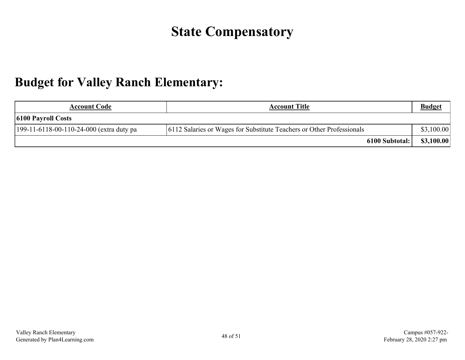# **State Compensatory**

# <span id="page-47-0"></span>**Budget for Valley Ranch Elementary:**

| <b>Account Code</b>                        | <b>Account Title</b>                                                   | <b>Budget</b> |
|--------------------------------------------|------------------------------------------------------------------------|---------------|
| $\vert$ 6100 Payroll Costs                 |                                                                        |               |
| $199-11-6118-00-110-24-000$ (extra duty pa | [6112 Salaries or Wages for Substitute Teachers or Other Professionals | \$3,100.00    |
|                                            | 6100 Subtotal:                                                         | \$3,100.00    |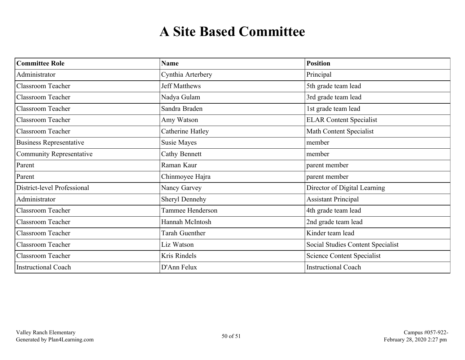# **A Site Based Committee**

<span id="page-49-0"></span>

| <b>Committee Role</b>           | Name                 | <b>Position</b>                   |
|---------------------------------|----------------------|-----------------------------------|
| Administrator                   | Cynthia Arterbery    | Principal                         |
| <b>Classroom Teacher</b>        | <b>Jeff Matthews</b> | 5th grade team lead               |
| <b>Classroom Teacher</b>        | Nadya Gulam          | 3rd grade team lead               |
| <b>Classroom Teacher</b>        | Sandra Braden        | 1st grade team lead               |
| <b>Classroom Teacher</b>        | Amy Watson           | <b>ELAR</b> Content Specialist    |
| Classroom Teacher               | Catherine Hatley     | <b>Math Content Specialist</b>    |
| <b>Business Representative</b>  | Susie Mayes          | member                            |
| <b>Community Representative</b> | <b>Cathy Bennett</b> | member                            |
| Parent                          | Raman Kaur           | parent member                     |
| Parent                          | Chinmoyee Hajra      | parent member                     |
| District-level Professional     | Nancy Garvey         | Director of Digital Learning      |
| Administrator                   | Sheryl Dennehy       | <b>Assistant Principal</b>        |
| <b>Classroom Teacher</b>        | Tammee Henderson     | 4th grade team lead               |
| <b>Classroom Teacher</b>        | Hannah McIntosh      | 2nd grade team lead               |
| <b>Classroom Teacher</b>        | Tarah Guenther       | Kinder team lead                  |
| <b>Classroom Teacher</b>        | Liz Watson           | Social Studies Content Specialist |
| Classroom Teacher               | Kris Rindels         | <b>Science Content Specialist</b> |
| <b>Instructional Coach</b>      | D'Ann Felux          | <b>Instructional Coach</b>        |